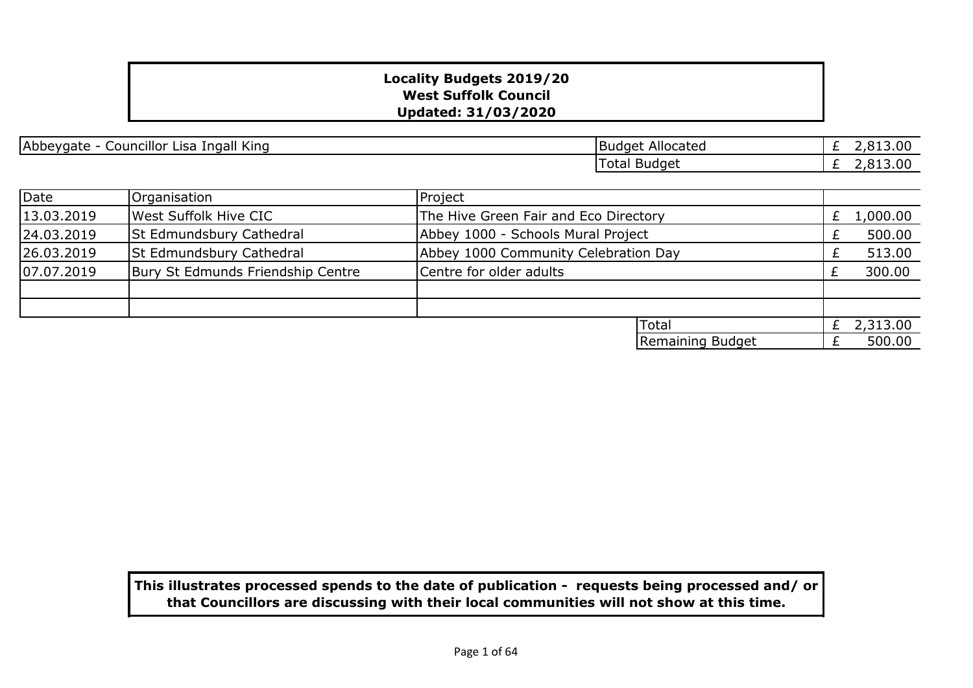| Councillor<br>. .<br>fngall King<br>Abbeygate<br>Lisal<br>$\overline{\phantom{a}}$ | Allocated<br>'Budget | .,813.00 |
|------------------------------------------------------------------------------------|----------------------|----------|
|                                                                                    | Total Budget         | .,813.00 |

| Date       | Organisation                      | Project                              |                                       |  |          |
|------------|-----------------------------------|--------------------------------------|---------------------------------------|--|----------|
| 13.03.2019 | West Suffolk Hive CIC             |                                      | The Hive Green Fair and Eco Directory |  | 1,000.00 |
| 24.03.2019 | <b>St Edmundsbury Cathedral</b>   |                                      | Abbey 1000 - Schools Mural Project    |  | 500.00   |
| 26.03.2019 | <b>St Edmundsbury Cathedral</b>   | Abbey 1000 Community Celebration Day |                                       |  | 513.00   |
| 07.07.2019 | Bury St Edmunds Friendship Centre | Centre for older adults              |                                       |  | 300.00   |
|            |                                   |                                      |                                       |  |          |
|            |                                   |                                      |                                       |  |          |
|            |                                   |                                      | <b>lTotal</b>                         |  | 2,313.00 |
|            |                                   |                                      | Remaining Budget                      |  | 500.00   |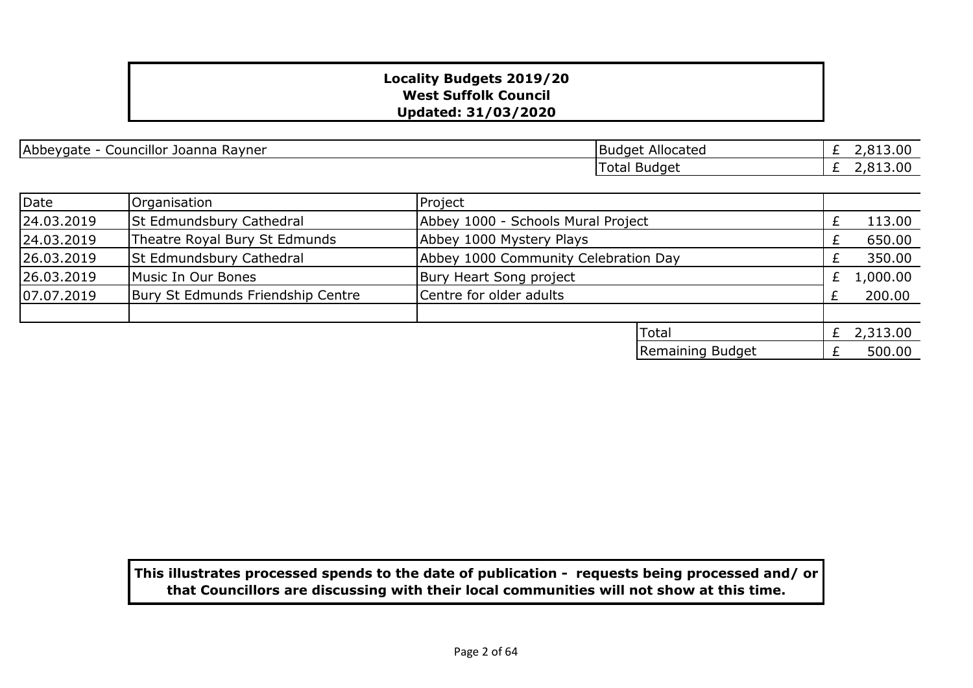| $\cdots$<br>$\sim$ $\sim$<br> Abbeygate <br>. Ravner<br>Joanna<br>Councillor_ | <b>Budget</b><br>Allocated | 13.00 |
|-------------------------------------------------------------------------------|----------------------------|-------|
|                                                                               | l otal<br>Budget           | 13.00 |

| Date       | Organisation                      | Project                              |                                    |  |              |
|------------|-----------------------------------|--------------------------------------|------------------------------------|--|--------------|
| 24.03.2019 | St Edmundsbury Cathedral          |                                      | Abbey 1000 - Schools Mural Project |  | 113.00       |
| 24.03.2019 | Theatre Royal Bury St Edmunds     | Abbey 1000 Mystery Plays             |                                    |  | 650.00       |
| 26.03.2019 | <b>St Edmundsbury Cathedral</b>   | Abbey 1000 Community Celebration Day |                                    |  | 350.00       |
| 26.03.2019 | Music In Our Bones                | Bury Heart Song project              |                                    |  | 1,000.00     |
| 07.07.2019 | Bury St Edmunds Friendship Centre | Centre for older adults              |                                    |  | 200.00       |
|            |                                   |                                      |                                    |  |              |
|            |                                   |                                      | <b>Total</b>                       |  | £ $2,313.00$ |
|            |                                   |                                      | Remaining Budget                   |  | 500.00       |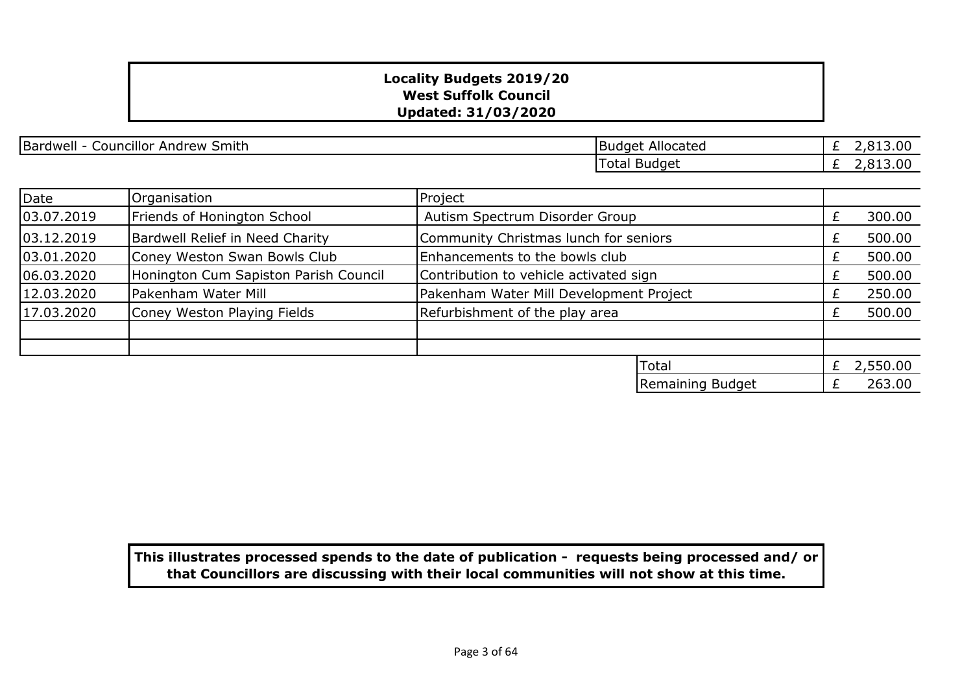| Bardwell<br>. .<br>. Smith<br>Andrew<br>Councillor_ | Allocated<br><b>Budget</b> | 13.00<br>__ |
|-----------------------------------------------------|----------------------------|-------------|
|                                                     | Budget<br>Total            | 13.00<br>-  |

| Date       | Organisation                          | Project                                 |                  |   |            |
|------------|---------------------------------------|-----------------------------------------|------------------|---|------------|
| 03.07.2019 | Friends of Honington School           | Autism Spectrum Disorder Group          |                  |   | 300.00     |
| 03.12.2019 | Bardwell Relief in Need Charity       | Community Christmas lunch for seniors   |                  |   | 500.00     |
| 03.01.2020 | Coney Weston Swan Bowls Club          | Enhancements to the bowls club          |                  |   | 500.00     |
| 06.03.2020 | Honington Cum Sapiston Parish Council | Contribution to vehicle activated sign  |                  | £ | 500.00     |
| 12.03.2020 | Pakenham Water Mill                   | Pakenham Water Mill Development Project |                  |   | 250.00     |
| 17.03.2020 | Coney Weston Playing Fields           | Refurbishment of the play area          |                  |   | 500.00     |
|            |                                       |                                         |                  |   |            |
|            |                                       |                                         |                  |   |            |
|            |                                       |                                         | Total            |   | £ 2,550.00 |
|            |                                       |                                         | Remaining Budget |   | 263.00     |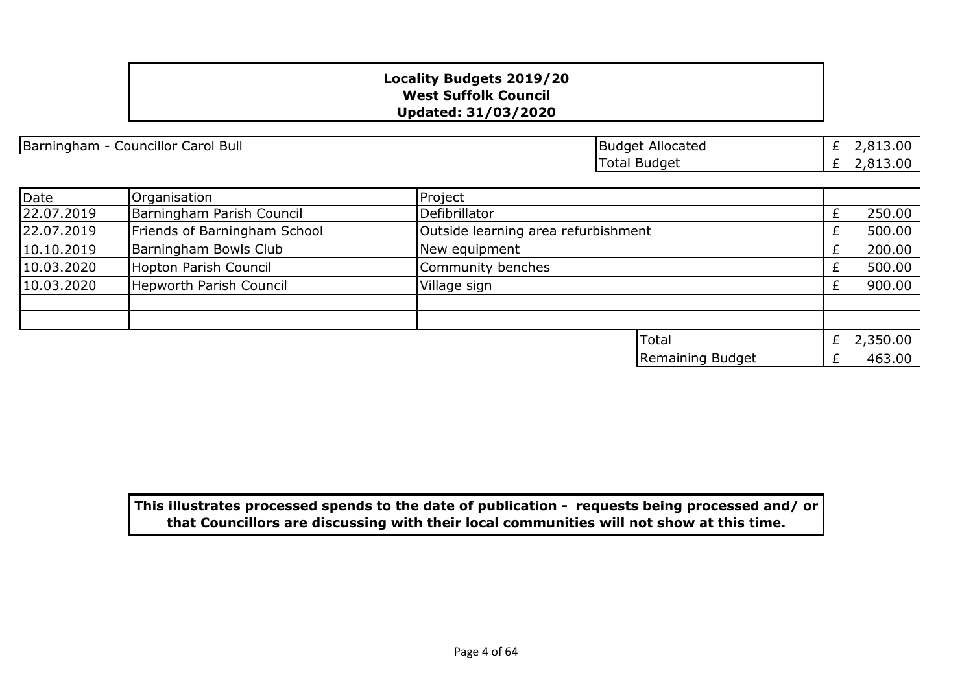| <b>Bull</b><br>Barningham<br>Councillor<br>Carol | Allocated<br> Budget | $\sim$ $\sim$<br>- - - - - - - - - - |
|--------------------------------------------------|----------------------|--------------------------------------|
|                                                  | Budget<br>otal       | $\sim$<br>.<br>_ . _ .<br>-          |
|                                                  |                      |                                      |

| Date       | Organisation                 | Project                             |            |
|------------|------------------------------|-------------------------------------|------------|
| 22.07.2019 | Barningham Parish Council    | Defibrillator                       | 250.00     |
| 22.07.2019 | Friends of Barningham School | Outside learning area refurbishment | 500.00     |
| 10.10.2019 | Barningham Bowls Club        | New equipment                       | 200.00     |
| 10.03.2020 | Hopton Parish Council        | Community benches                   | 500.00     |
| 10.03.2020 | Hepworth Parish Council      | Village sign                        | 900.00     |
|            |                              |                                     |            |
|            |                              |                                     |            |
|            |                              | Total                               | £ 2,350.00 |
|            |                              | Remaining Budget                    | 463.00     |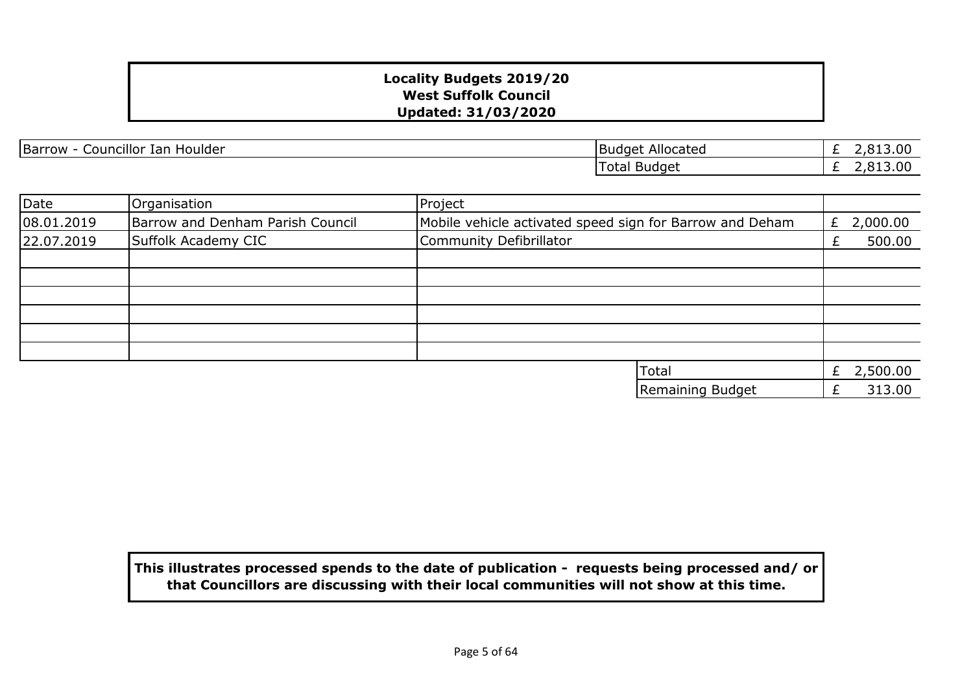Barrow - Councillor Ian Houlder **Budget Allocated** 

£ 2,813.00 £ 2,813.00 Total Budget

| Date       | Organisation                     | Project                                                  |               |
|------------|----------------------------------|----------------------------------------------------------|---------------|
| 08.01.2019 | Barrow and Denham Parish Council | Mobile vehicle activated speed sign for Barrow and Deham | 2,000.00<br>£ |
| 22.07.2019 | Suffolk Academy CIC              | Community Defibrillator                                  | 500.00        |
|            |                                  |                                                          |               |
|            |                                  |                                                          |               |
|            |                                  |                                                          |               |
|            |                                  |                                                          |               |
|            |                                  |                                                          |               |
|            |                                  |                                                          |               |
|            |                                  | Total                                                    | 2,500.00<br>£ |
|            |                                  | Remaining Budget                                         | 313.00        |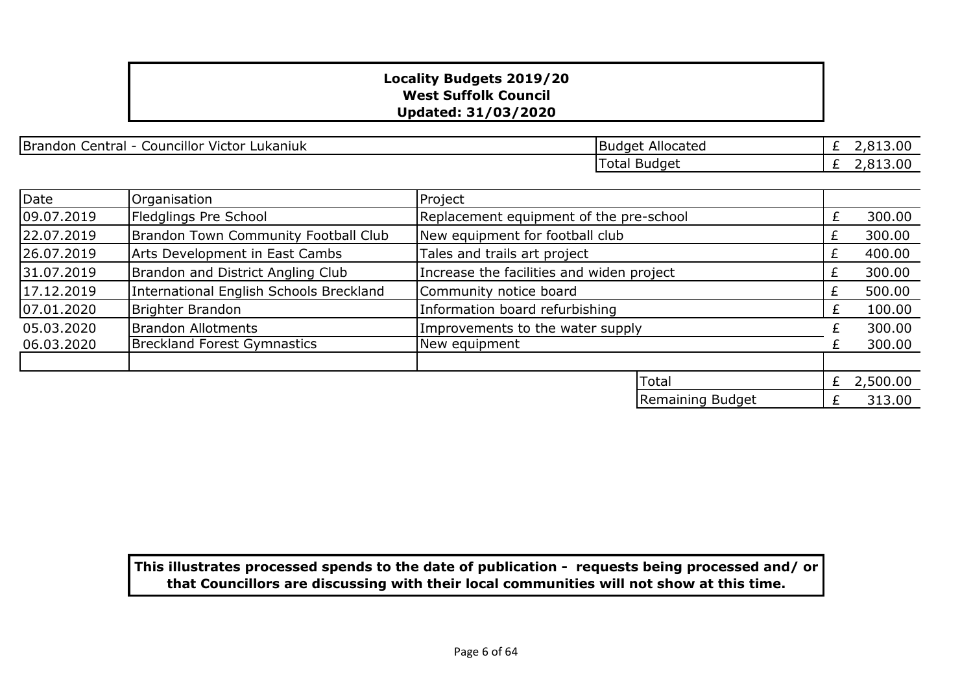Brandon Central - Councillor Victor Lukaniuk Brandon Budget Allocated

£ 2,813.00 £ 2,813.00 Total Budget

| Date       | Organisation                            | Project                                   |                                         |   |          |
|------------|-----------------------------------------|-------------------------------------------|-----------------------------------------|---|----------|
| 09.07.2019 | Fledglings Pre School                   |                                           | Replacement equipment of the pre-school |   |          |
| 22.07.2019 | Brandon Town Community Football Club    | New equipment for football club           |                                         |   | 300.00   |
| 26.07.2019 | Arts Development in East Cambs          | Tales and trails art project              |                                         |   | 400.00   |
| 31.07.2019 | Brandon and District Angling Club       | Increase the facilities and widen project |                                         |   | 300.00   |
| 17.12.2019 | International English Schools Breckland | Community notice board                    |                                         |   | 500.00   |
| 07.01.2020 | Brighter Brandon                        | Information board refurbishing            |                                         | £ | 100.00   |
| 05.03.2020 | <b>Brandon Allotments</b>               | Improvements to the water supply          |                                         |   | 300.00   |
| 06.03.2020 | <b>Breckland Forest Gymnastics</b>      | New equipment                             |                                         |   | 300.00   |
|            |                                         |                                           |                                         |   |          |
|            |                                         |                                           | <b>Total</b>                            | £ | 2,500.00 |
|            |                                         |                                           | Remaining Budget                        |   | 313.00   |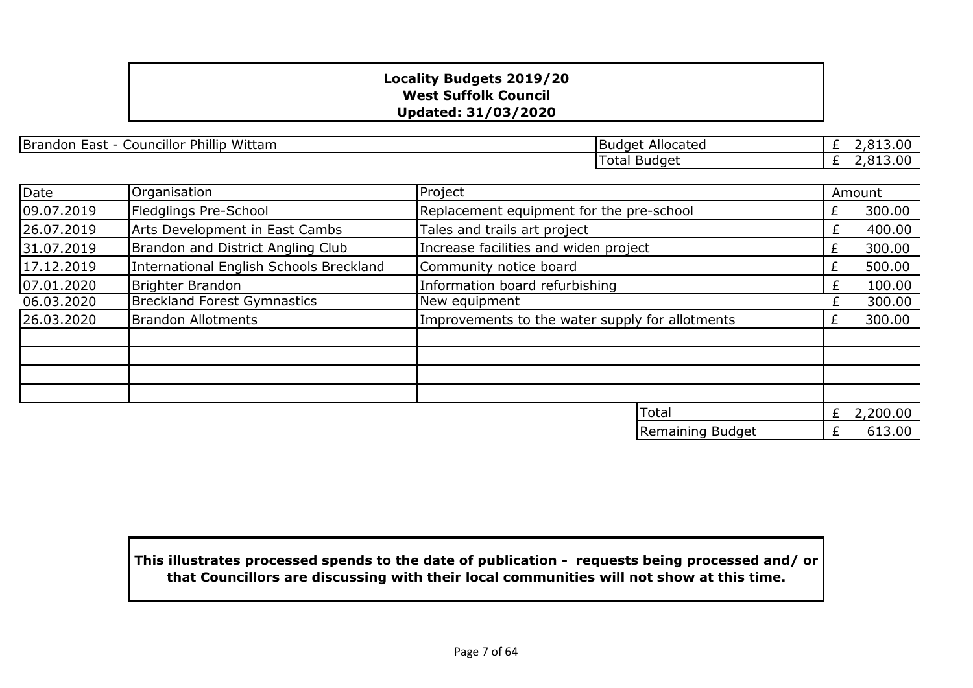Brandon East - Councillor Phillip Wittam Budget Allocated

£ 2,813.00 £ 2,813.00 Total Budget

| Date       | Organisation                            | Project                                         |                                          |   | Amount   |
|------------|-----------------------------------------|-------------------------------------------------|------------------------------------------|---|----------|
| 09.07.2019 | Fledglings Pre-School                   |                                                 | Replacement equipment for the pre-school |   |          |
| 26.07.2019 | Arts Development in East Cambs          | Tales and trails art project                    |                                          | £ | 400.00   |
| 31.07.2019 | Brandon and District Angling Club       | Increase facilities and widen project           |                                          |   | 300.00   |
| 17.12.2019 | International English Schools Breckland | Community notice board                          |                                          | £ | 500.00   |
| 07.01.2020 | Brighter Brandon                        | Information board refurbishing                  |                                          | £ | 100.00   |
| 06.03.2020 | <b>Breckland Forest Gymnastics</b>      | New equipment                                   |                                          |   | 300.00   |
| 26.03.2020 | <b>Brandon Allotments</b>               | Improvements to the water supply for allotments |                                          |   | 300.00   |
|            |                                         |                                                 |                                          |   |          |
|            |                                         |                                                 |                                          |   |          |
|            |                                         |                                                 |                                          |   |          |
|            |                                         |                                                 |                                          |   |          |
|            |                                         |                                                 | Total                                    | £ | 2,200.00 |
|            |                                         |                                                 | Remaining Budget                         |   | 613.00   |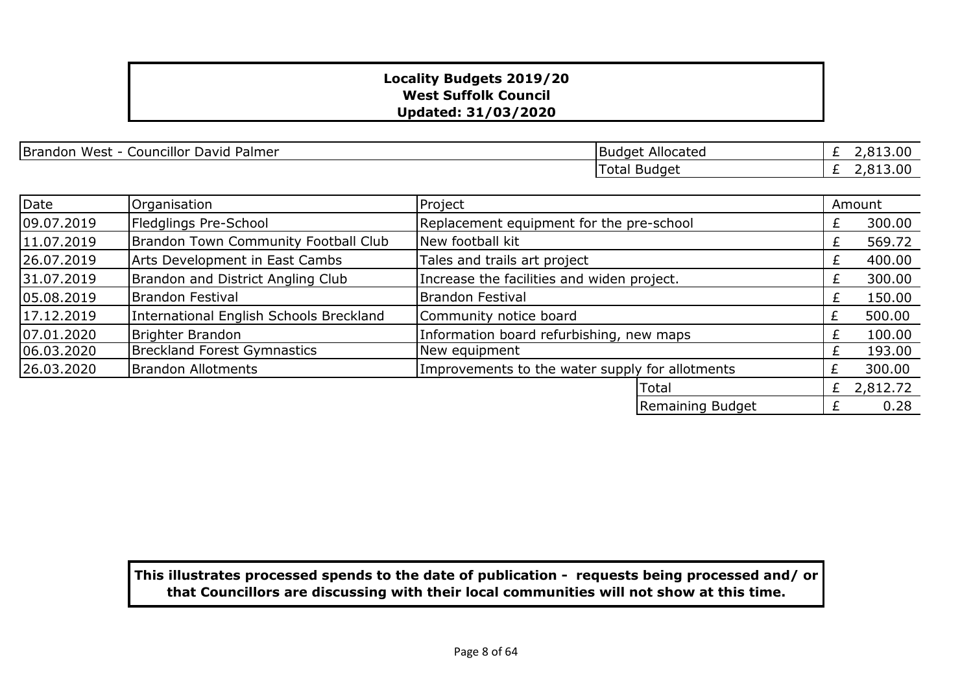£ 2,813.00 £ 2,813.00 Budget Allocated Total Budget

| Date       | Organisation                            | Project                                         |                                          |   | Amount     |
|------------|-----------------------------------------|-------------------------------------------------|------------------------------------------|---|------------|
| 09.07.2019 | Fledglings Pre-School                   |                                                 | Replacement equipment for the pre-school |   | 300.00     |
| 11.07.2019 | Brandon Town Community Football Club    | New football kit                                |                                          |   | 569.72     |
| 26.07.2019 | Arts Development in East Cambs          | Tales and trails art project                    |                                          |   | 400.00     |
| 31.07.2019 | Brandon and District Angling Club       | Increase the facilities and widen project.      |                                          |   | 300.00     |
| 05.08.2019 | Brandon Festival                        | <b>Brandon Festival</b>                         |                                          | £ | 150.00     |
| 17.12.2019 | International English Schools Breckland | Community notice board                          |                                          | £ | 500.00     |
| 07.01.2020 | Brighter Brandon                        | Information board refurbishing, new maps        |                                          | £ | 100.00     |
| 06.03.2020 | <b>Breckland Forest Gymnastics</b>      | New equipment                                   |                                          | £ | 193.00     |
| 26.03.2020 | <b>Brandon Allotments</b>               | Improvements to the water supply for allotments |                                          | £ | 300.00     |
|            |                                         |                                                 | Total                                    |   | £ 2,812.72 |
|            |                                         |                                                 | Remaining Budget                         | £ | 0.28       |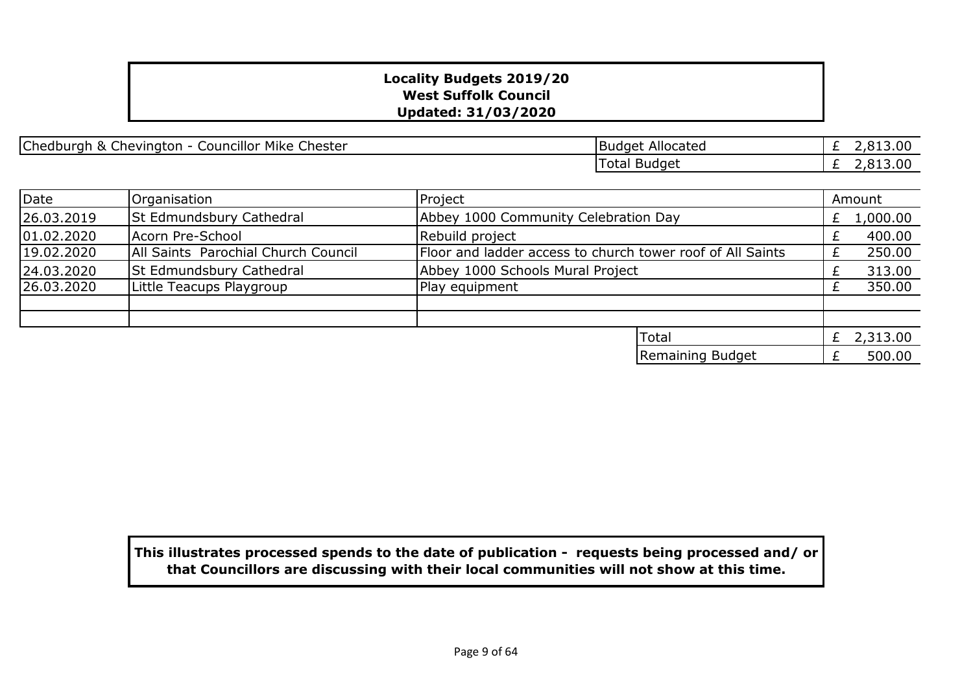Chedburgh & Chevington - Councillor Mike Chester **Budget Allocated** Budget Allocated

£ 2,813.00 £ 2,813.00 Total Budget

| Date       | Organisation                        | Project                                                    |   | Amount       |
|------------|-------------------------------------|------------------------------------------------------------|---|--------------|
| 26.03.2019 | <b>St Edmundsbury Cathedral</b>     | Abbey 1000 Community Celebration Day                       | £ | 1,000.00     |
| 01.02.2020 | Acorn Pre-School                    | Rebuild project                                            |   | 400.00       |
| 19.02.2020 | All Saints Parochial Church Council | Floor and ladder access to church tower roof of All Saints |   | 250.00       |
| 24.03.2020 | <b>St Edmundsbury Cathedral</b>     | Abbey 1000 Schools Mural Project                           |   | 313.00       |
| 26.03.2020 | Little Teacups Playgroup            | Play equipment                                             |   | 350.00       |
|            |                                     |                                                            |   |              |
|            |                                     |                                                            |   |              |
|            |                                     | Total                                                      |   | £ $2,313.00$ |
|            |                                     | Remaining Budget                                           |   | 500.00       |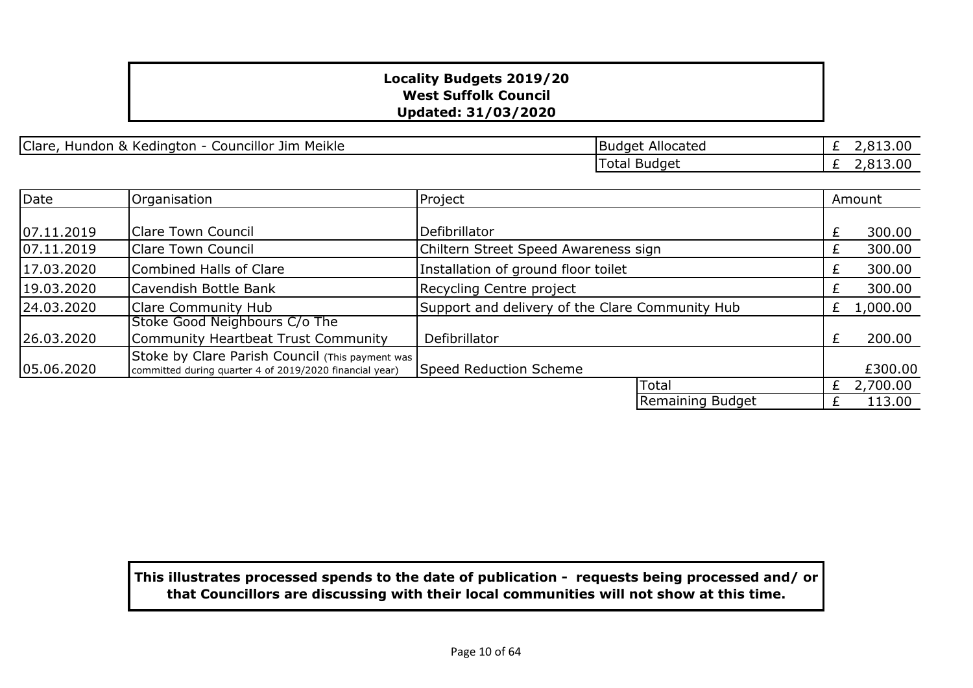| Clare, Hundon & Kedington - Councillor Jim Meikle | National Clare | Budget Allocated

£ 2,813.00 £ 2,813.00 Total Budget

| Date       | Organisation                                                                                               | Project                                         |                  |   | Amount   |
|------------|------------------------------------------------------------------------------------------------------------|-------------------------------------------------|------------------|---|----------|
|            |                                                                                                            |                                                 |                  |   |          |
| 07.11.2019 | <b>Clare Town Council</b>                                                                                  | Defibrillator                                   |                  |   | 300.00   |
| 07.11.2019 | Clare Town Council                                                                                         | Chiltern Street Speed Awareness sign            |                  |   | 300.00   |
| 17.03.2020 | Combined Halls of Clare                                                                                    | Installation of ground floor toilet             |                  |   | 300.00   |
| 19.03.2020 | Cavendish Bottle Bank                                                                                      | Recycling Centre project                        |                  | £ | 300.00   |
| 24.03.2020 | Clare Community Hub                                                                                        | Support and delivery of the Clare Community Hub |                  |   | 1,000.00 |
| 26.03.2020 | Stoke Good Neighbours C/o The<br>Community Heartbeat Trust Community                                       | Defibrillator                                   |                  | £ | 200.00   |
| 05.06.2020 | Stoke by Clare Parish Council (This payment was<br>committed during quarter 4 of 2019/2020 financial year) | Speed Reduction Scheme                          |                  |   | £300.00  |
|            |                                                                                                            |                                                 | Total            | £ | 2,700.00 |
|            |                                                                                                            |                                                 | Remaining Budget |   | 113.00   |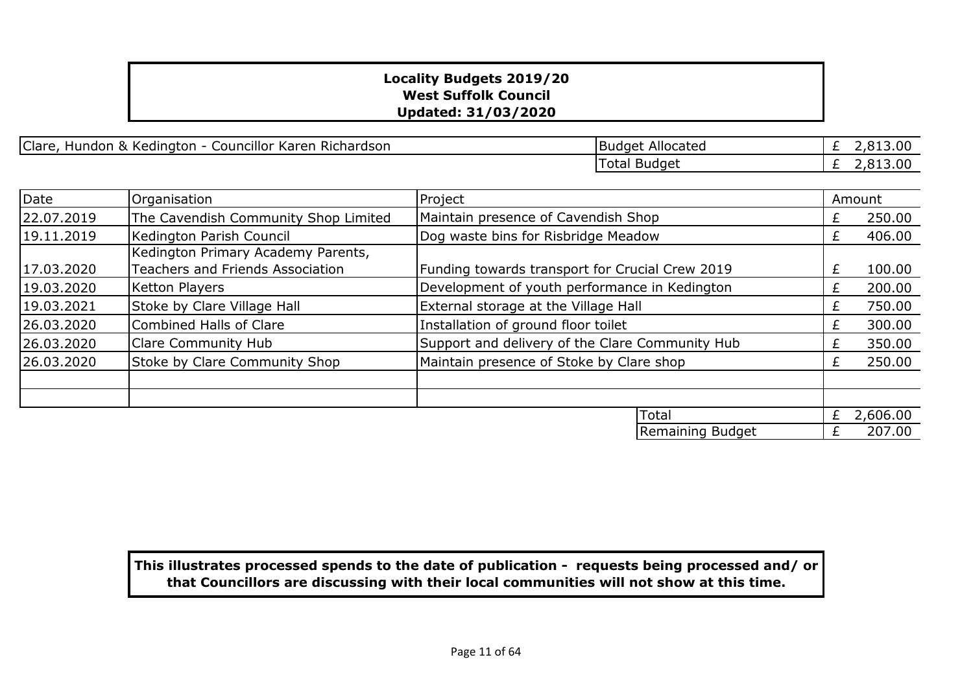Clare, Hundon & Kedington - Councillor Karen Richardson

| <b>Budget Allocated</b> | £ 2,813.00   |
|-------------------------|--------------|
| Total Budget            | $E$ 2,813.00 |

| Date       | Organisation                            | Project                                         |           | Amount   |
|------------|-----------------------------------------|-------------------------------------------------|-----------|----------|
| 22.07.2019 | The Cavendish Community Shop Limited    | Maintain presence of Cavendish Shop             |           | 250.00   |
| 19.11.2019 | Kedington Parish Council                | Dog waste bins for Risbridge Meadow             | £         | 406.00   |
|            | Kedington Primary Academy Parents,      |                                                 |           |          |
| 17.03.2020 | <b>Teachers and Friends Association</b> | Funding towards transport for Crucial Crew 2019 | £         | 100.00   |
| 19.03.2020 | Ketton Players                          | Development of youth performance in Kedington   |           | 200.00   |
| 19.03.2021 | Stoke by Clare Village Hall             | External storage at the Village Hall            |           | 750.00   |
| 26.03.2020 | Combined Halls of Clare                 | Installation of ground floor toilet             |           | 300.00   |
| 26.03.2020 | <b>Clare Community Hub</b>              | Support and delivery of the Clare Community Hub | £         | 350.00   |
| 26.03.2020 | Stoke by Clare Community Shop           | Maintain presence of Stoke by Clare shop        | $\ddot{}$ | 250.00   |
|            |                                         |                                                 |           |          |
|            |                                         |                                                 |           |          |
|            |                                         | Total                                           | £         | 2,606.00 |
|            |                                         | Remaining Budget                                |           | 207.00   |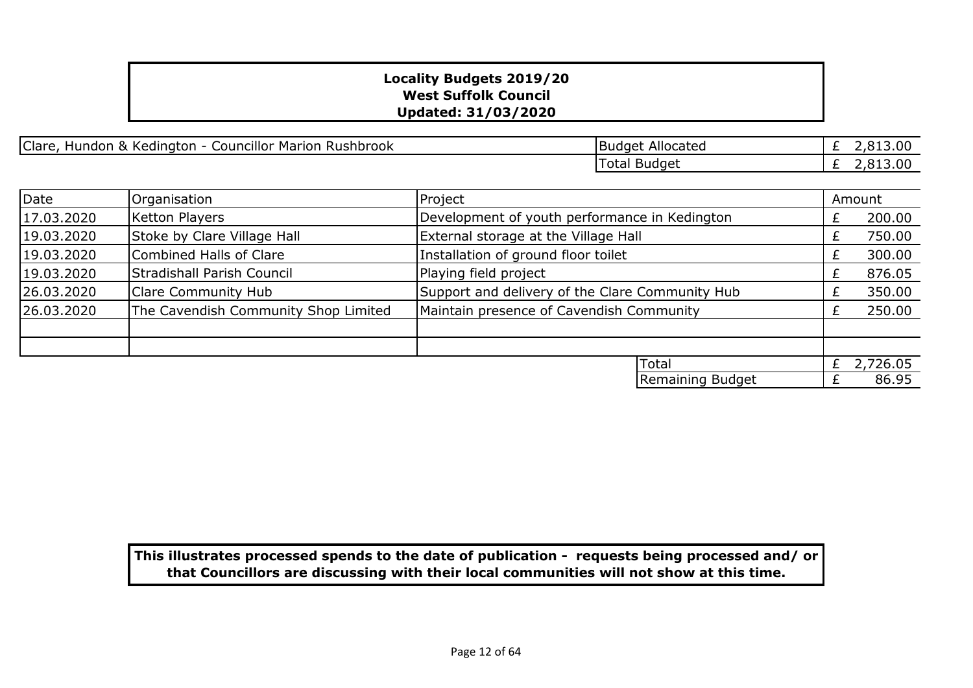| Clare,<br>. Kedinaton i<br>Rushbrook<br>Councillor Marion '<br>Hundon<br>$\mathbf x$ | Allocated<br>Budget | _ _ . U U<br>- |
|--------------------------------------------------------------------------------------|---------------------|----------------|
|                                                                                      | Budget<br>⊥ot1      | ,. ou<br>_     |

| Date       | Organisation                         | Project                                         |                                               |   | Amount   |
|------------|--------------------------------------|-------------------------------------------------|-----------------------------------------------|---|----------|
| 17.03.2020 | Ketton Players                       |                                                 | Development of youth performance in Kedington |   | 200.00   |
| 19.03.2020 | Stoke by Clare Village Hall          |                                                 | External storage at the Village Hall          |   | 750.00   |
| 19.03.2020 | Combined Halls of Clare              | Installation of ground floor toilet             |                                               |   | 300.00   |
| 19.03.2020 | Stradishall Parish Council           | Playing field project                           |                                               | £ | 876.05   |
| 26.03.2020 | Clare Community Hub                  | Support and delivery of the Clare Community Hub |                                               |   | 350.00   |
| 26.03.2020 | The Cavendish Community Shop Limited | Maintain presence of Cavendish Community        |                                               |   | 250.00   |
|            |                                      |                                                 |                                               |   |          |
|            |                                      |                                                 |                                               |   |          |
|            |                                      |                                                 | <b>Total</b>                                  | £ | 2,726.05 |
|            |                                      |                                                 | Remaining Budget                              |   | 86.95    |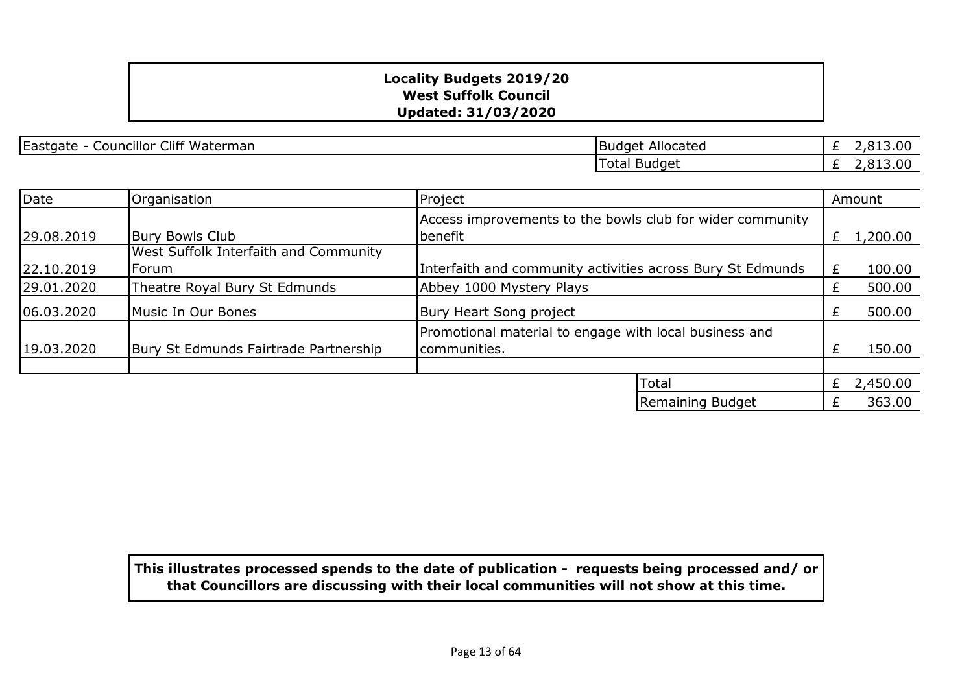Eastgate - Councillor Cliff Waterman Budget Allocated

£  $2,813.00$ £ 2,813.00 Total Budget

| Date       | Organisation                                 | Project                                                                |    | Amount   |
|------------|----------------------------------------------|------------------------------------------------------------------------|----|----------|
| 29.08.2019 | <b>Bury Bowls Club</b>                       | Access improvements to the bowls club for wider community<br>benefit   | £  | 1,200.00 |
|            | <b>West Suffolk Interfaith and Community</b> |                                                                        |    |          |
| 22.10.2019 | lForum                                       | Interfaith and community activities across Bury St Edmunds             | £. | 100.00   |
| 29.01.2020 | Theatre Royal Bury St Edmunds                | Abbey 1000 Mystery Plays                                               | £  | 500.00   |
| 06.03.2020 | Music In Our Bones                           | Bury Heart Song project                                                |    | 500.00   |
| 19.03.2020 | Bury St Edmunds Fairtrade Partnership        | Promotional material to engage with local business and<br>communities. |    | 150.00   |
|            |                                              |                                                                        |    |          |
|            |                                              | Total                                                                  | £  | 2,450.00 |
|            |                                              | Remaining Budget                                                       |    | 363.00   |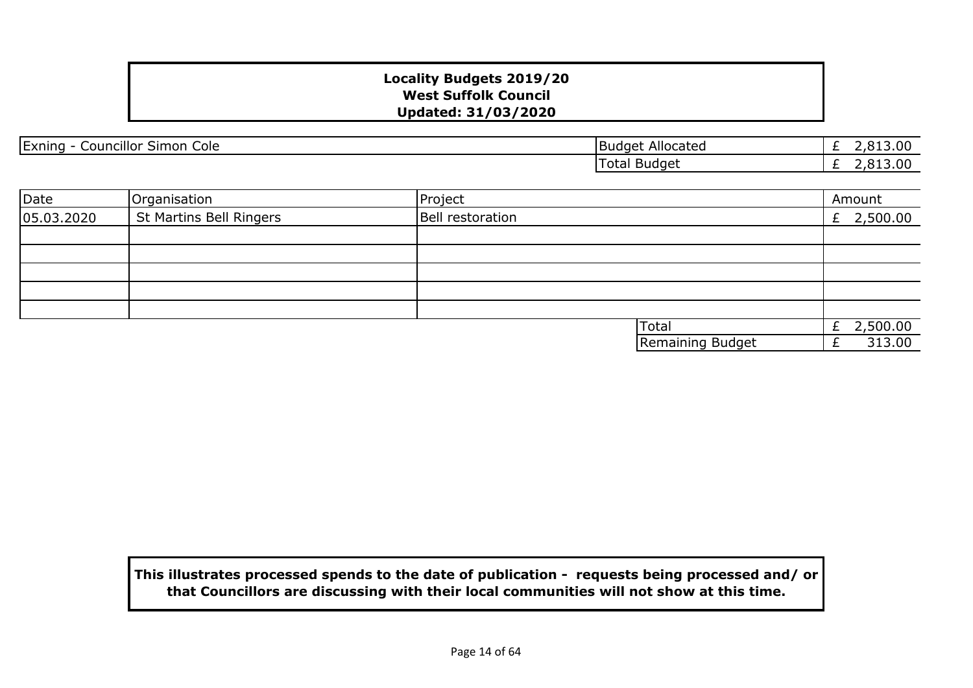| Exning<br><br>Cole<br>Councillor '<br>Simon | Allocated<br>.Budget | .00<br>$\sim$   |
|---------------------------------------------|----------------------|-----------------|
|                                             | Total Budget         | 13.00<br>$\sim$ |

| Date       | Organisation            | Project                 | Amount     |
|------------|-------------------------|-------------------------|------------|
| 05.03.2020 | St Martins Bell Ringers | <b>Bell restoration</b> | £ 2,500.00 |
|            |                         |                         |            |
|            |                         |                         |            |
|            |                         |                         |            |
|            |                         |                         |            |
|            |                         |                         |            |
|            |                         | <b>Total</b>            | 2,500.00   |
|            |                         | Remaining Budget        | 313.00     |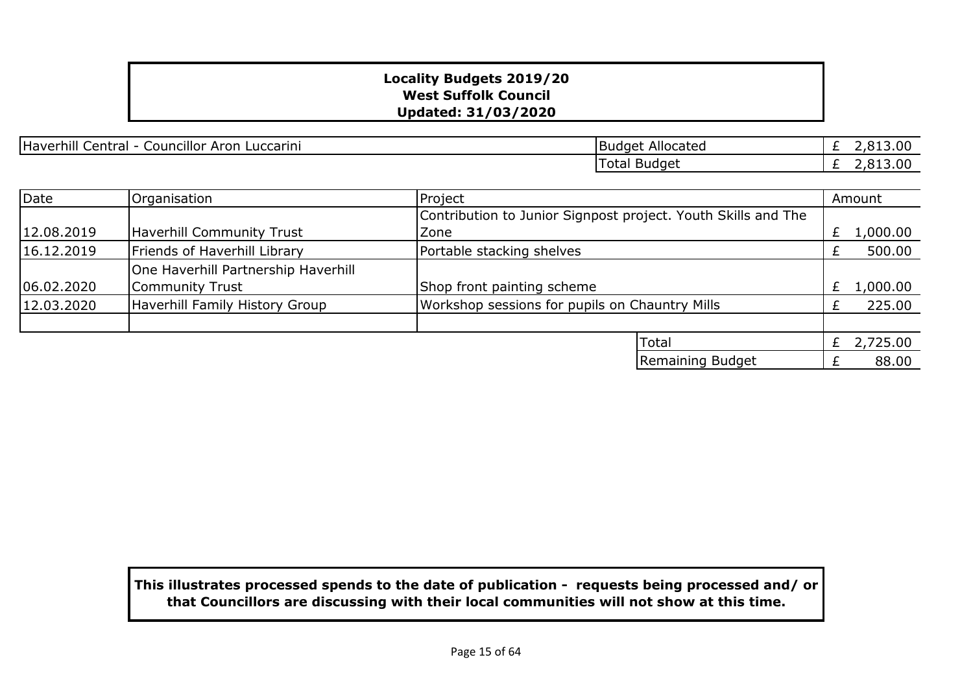Haverhill Central - Councillor Aron Luccarini Budget Allocated

£ 2,813.00 £ 2,813.00 Total Budget

| Date       | Organisation                        | Project                                                       |   | Amount   |
|------------|-------------------------------------|---------------------------------------------------------------|---|----------|
|            |                                     | Contribution to Junior Signpost project. Youth Skills and The |   |          |
| 12.08.2019 | Haverhill Community Trust           | Zone                                                          |   | 1,000.00 |
| 16.12.2019 | Friends of Haverhill Library        | Portable stacking shelves                                     |   | 500.00   |
|            | One Haverhill Partnership Haverhill |                                                               |   |          |
| 06.02.2020 | Community Trust                     | Shop front painting scheme                                    | £ | 1,000.00 |
| 12.03.2020 | Haverhill Family History Group      | Workshop sessions for pupils on Chauntry Mills                |   | 225.00   |
|            |                                     |                                                               |   |          |
|            |                                     | Total                                                         |   | 2,725.00 |
|            |                                     | Remaining Budget                                              |   | 88.00    |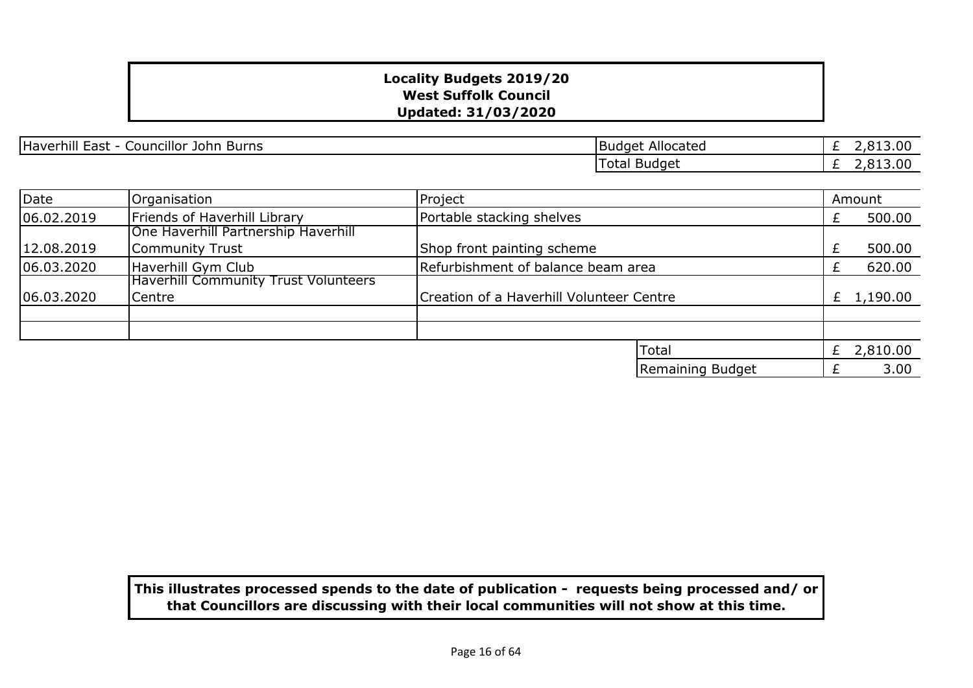Haverhill East - Councillor John Burns Burns Budget Allocated

£ 2,813.00  $\overline{£}$  2,813.00 Total Budget

| Date       | Organisation                                | Project                                  |                  |  | Amount       |
|------------|---------------------------------------------|------------------------------------------|------------------|--|--------------|
| 06.02.2019 | Friends of Haverhill Library                | Portable stacking shelves                |                  |  | 500.00       |
|            | One Haverhill Partnership Haverhill         |                                          |                  |  |              |
| 12.08.2019 | Community Trust                             | Shop front painting scheme               |                  |  | 500.00       |
| 06.03.2020 | Haverhill Gym Club                          | Refurbishment of balance beam area       |                  |  | 620.00       |
|            | <b>Haverhill Community Trust Volunteers</b> |                                          |                  |  |              |
| 06.03.2020 | Centre                                      | Creation of a Haverhill Volunteer Centre |                  |  | £ $1,190.00$ |
|            |                                             |                                          |                  |  |              |
|            |                                             |                                          |                  |  |              |
|            |                                             |                                          | Total            |  | 2,810.00     |
|            |                                             |                                          | Remaining Budget |  | 3.00         |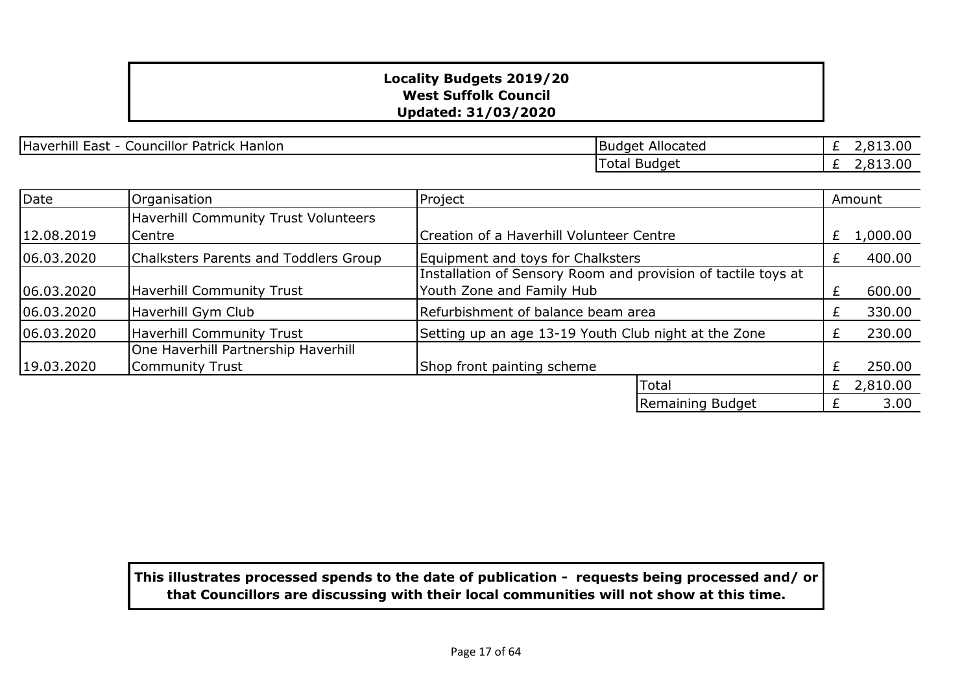Haverhill East - Councillor Patrick Hanlon Budget Allocated Budget Allocated

£ 2,813.00 £ 2,813.00 Total Budget

| Date       | Organisation                                           | Project                                                                                    |    | Amount   |
|------------|--------------------------------------------------------|--------------------------------------------------------------------------------------------|----|----------|
| 12.08.2019 | <b>Haverhill Community Trust Volunteers</b><br> Centre | Creation of a Haverhill Volunteer Centre                                                   | £. | 1,000.00 |
| 06.03.2020 | Chalksters Parents and Toddlers Group                  | Equipment and toys for Chalksters                                                          |    | 400.00   |
| 06.03.2020 | Haverhill Community Trust                              | Installation of Sensory Room and provision of tactile toys at<br>Youth Zone and Family Hub |    | 600.00   |
| 06.03.2020 | Haverhill Gym Club                                     | Refurbishment of balance beam area                                                         |    | 330.00   |
| 06.03.2020 | Haverhill Community Trust                              | Setting up an age 13-19 Youth Club night at the Zone                                       |    | 230.00   |
| 19.03.2020 | One Haverhill Partnership Haverhill<br>Community Trust | Shop front painting scheme                                                                 |    | 250.00   |
|            |                                                        | <b>Total</b>                                                                               | £  | 2,810.00 |
|            |                                                        | Remaining Budget                                                                           |    | 3.00     |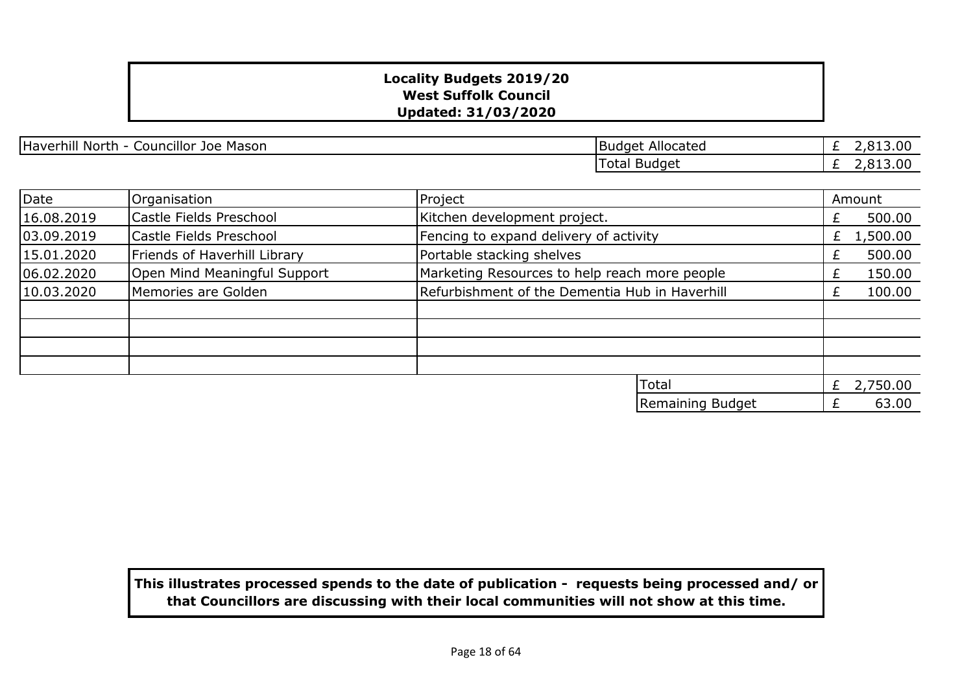| <br>Haverhill<br>Councillor<br>North<br>Mason<br>Joe<br>– יי | Allocated<br>'Budget | .00<br>$\sim$ |
|--------------------------------------------------------------|----------------------|---------------|
|                                                              | Total Budget         | .00<br>$\sim$ |

| Date       | Organisation                 | Project                                        | Amount        |
|------------|------------------------------|------------------------------------------------|---------------|
| 16.08.2019 | Castle Fields Preschool      | Kitchen development project.                   | 500.00        |
| 03.09.2019 | Castle Fields Preschool      | Fencing to expand delivery of activity         | 1,500.00<br>Ł |
| 15.01.2020 | Friends of Haverhill Library | Portable stacking shelves                      | 500.00        |
| 06.02.2020 | Open Mind Meaningful Support | Marketing Resources to help reach more people  | 150.00        |
| 10.03.2020 | Memories are Golden          | Refurbishment of the Dementia Hub in Haverhill | 100.00        |
|            |                              |                                                |               |
|            |                              |                                                |               |
|            |                              |                                                |               |
|            |                              |                                                |               |
|            |                              | Total                                          | 2,750.00<br>£ |

£ 63.00

Remaining Budget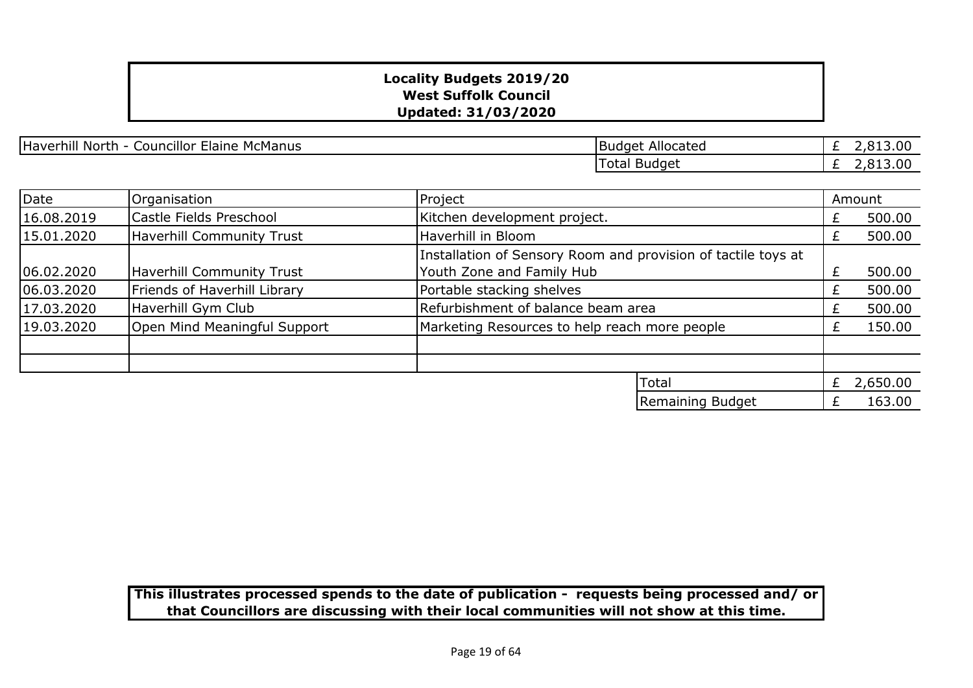Haverhill North - Councillor Elaine McManus Budget Allocated

£ 2,813.00 £ 2,813.00 Total Budget

| Date                                           | Organisation                     | Project                                                       |   | Amount   |
|------------------------------------------------|----------------------------------|---------------------------------------------------------------|---|----------|
| 16.08.2019                                     | Castle Fields Preschool          | Kitchen development project.                                  | £ | 500.00   |
| <b>Haverhill Community Trust</b><br>15.01.2020 |                                  | Haverhill in Bloom                                            | Ł | 500.00   |
|                                                |                                  | Installation of Sensory Room and provision of tactile toys at |   |          |
| 06.02.2020                                     | <b>Haverhill Community Trust</b> | Youth Zone and Family Hub                                     |   | 500.00   |
| 06.03.2020                                     | Friends of Haverhill Library     | Portable stacking shelves                                     |   | 500.00   |
| 17.03.2020                                     | Haverhill Gym Club               | Refurbishment of balance beam area                            |   | 500.00   |
| 19.03.2020                                     | Open Mind Meaningful Support     | Marketing Resources to help reach more people                 |   | 150.00   |
|                                                |                                  |                                                               |   |          |
|                                                |                                  | Total                                                         | £ | 2,650.00 |
|                                                |                                  | Remaining Budget                                              |   | 163.00   |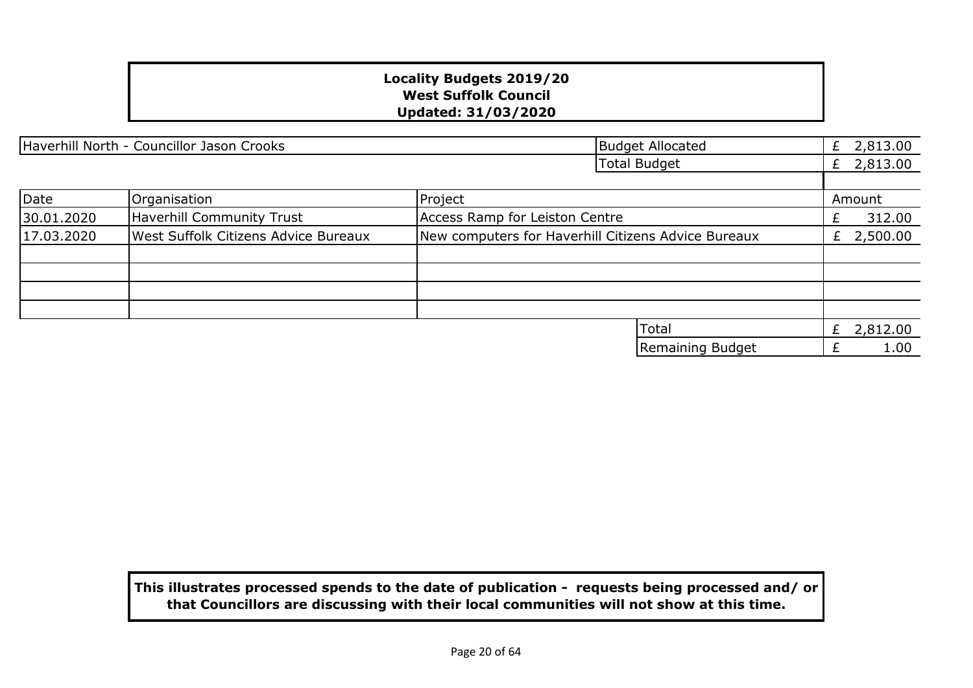|            | Haverhill North - Councillor Jason Crooks   |                                                     | <b>Budget Allocated</b> | £ | 2,813.00   |
|------------|---------------------------------------------|-----------------------------------------------------|-------------------------|---|------------|
|            |                                             |                                                     | <b>Total Budget</b>     | £ | 2,813.00   |
|            |                                             |                                                     |                         |   |            |
| Date       | Organisation                                | Project                                             |                         |   | Amount     |
| 30.01.2020 | Haverhill Community Trust                   | Access Ramp for Leiston Centre                      |                         | £ | 312.00     |
| 17.03.2020 | <b>West Suffolk Citizens Advice Bureaux</b> | New computers for Haverhill Citizens Advice Bureaux |                         |   | £ 2,500.00 |
|            |                                             |                                                     |                         |   |            |
|            |                                             |                                                     |                         |   |            |
|            |                                             |                                                     |                         |   |            |
|            |                                             |                                                     |                         |   |            |
|            |                                             |                                                     | Total                   | £ | 2,812.00   |
|            |                                             |                                                     | Remaining Budget        |   | 1.00       |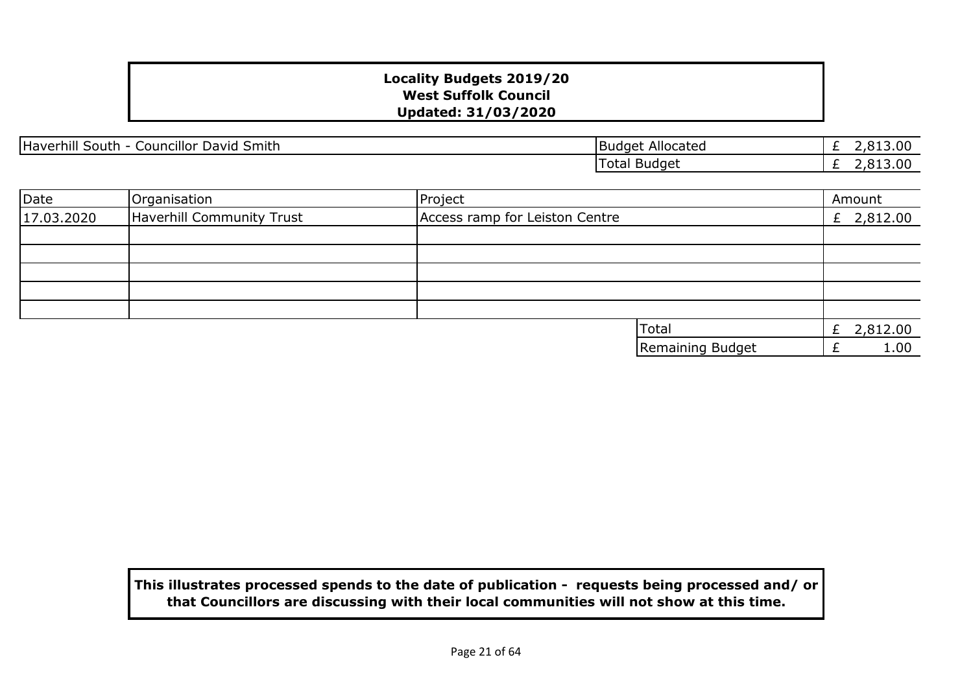$\overline{2,813.00}$ £ 2,813.00 Total Budget Budget Allocated

| Date       | Organisation              | Project                        |                  | Amount       |
|------------|---------------------------|--------------------------------|------------------|--------------|
| 17.03.2020 | Haverhill Community Trust | Access ramp for Leiston Centre |                  | £ $2,812.00$ |
|            |                           |                                |                  |              |
|            |                           |                                |                  |              |
|            |                           |                                |                  |              |
|            |                           |                                |                  |              |
|            |                           |                                |                  |              |
|            |                           |                                | <b>ITotal</b>    | 2,812.00     |
|            |                           |                                | Remaining Budget | 1.00         |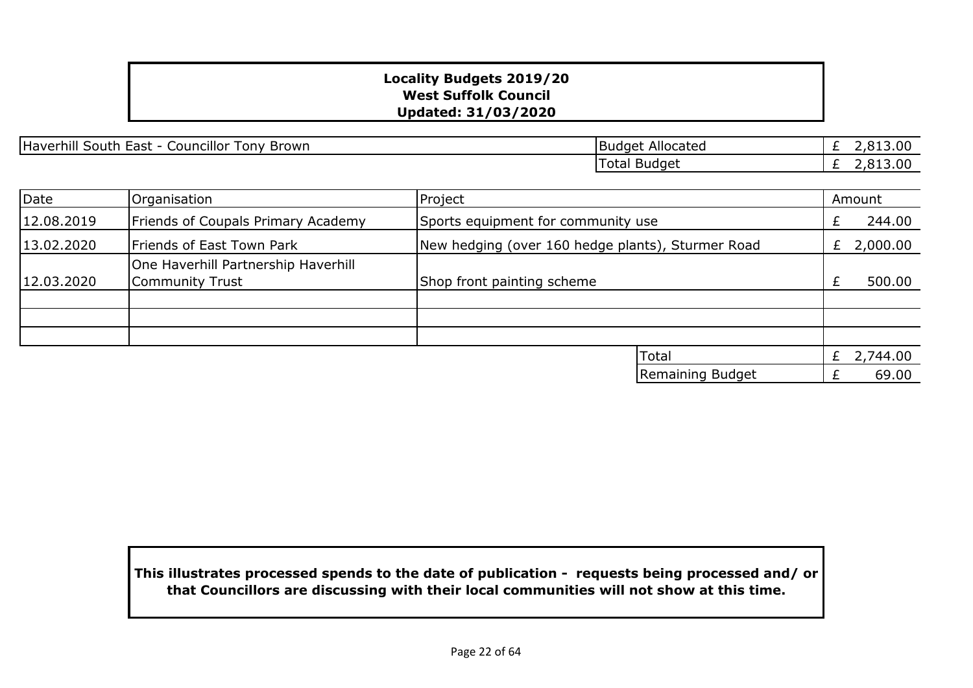Haverhill South East - Councillor Tony Brown Budget Allocated Budget Allocated

£ 2,813.00 £ 2,813.00 Total Budget

| Date       | Organisation                                           | Project                                           | Amount     |
|------------|--------------------------------------------------------|---------------------------------------------------|------------|
| 12.08.2019 | Friends of Coupals Primary Academy                     | Sports equipment for community use                | 244.00     |
| 13.02.2020 | Friends of East Town Park                              | New hedging (over 160 hedge plants), Sturmer Road | £ 2,000.00 |
| 12.03.2020 | One Haverhill Partnership Haverhill<br>Community Trust | Shop front painting scheme                        | 500.00     |
|            |                                                        |                                                   |            |
|            |                                                        |                                                   |            |
|            |                                                        | Total                                             | 2,744.00   |
|            |                                                        | Remaining Budget                                  | 69.00      |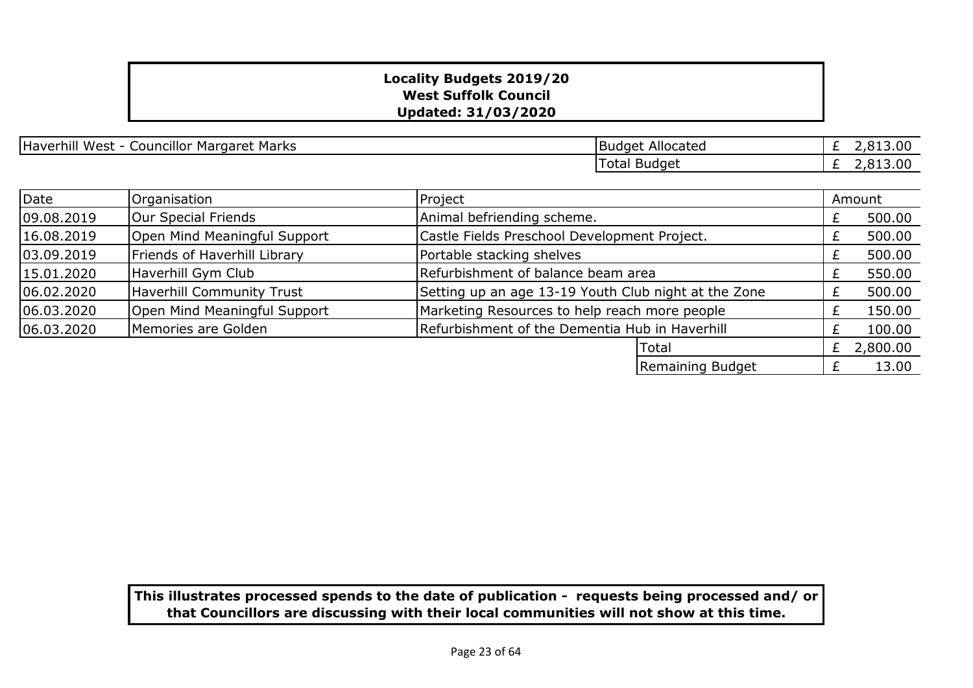| Haverhill West - Councillor Margaret Marks | Budget Allocated |
|--------------------------------------------|------------------|
|--------------------------------------------|------------------|

| <b>Budget Allocated</b> | £ 2,813.00 |
|-------------------------|------------|
| Total Budget            | £ 2,813.00 |

| Date       | Organisation                 | Project                                              |   | Amount   |
|------------|------------------------------|------------------------------------------------------|---|----------|
| 09.08.2019 | Our Special Friends          | Animal befriending scheme.                           |   | 500.00   |
| 16.08.2019 | Open Mind Meaningful Support | Castle Fields Preschool Development Project.         |   | 500.00   |
| 03.09.2019 | Friends of Haverhill Library | Portable stacking shelves                            |   | 500.00   |
| 15.01.2020 | Haverhill Gym Club           | Refurbishment of balance beam area                   |   | 550.00   |
| 06.02.2020 | Haverhill Community Trust    | Setting up an age 13-19 Youth Club night at the Zone |   | 500.00   |
| 06.03.2020 | Open Mind Meaningful Support | Marketing Resources to help reach more people        |   | 150.00   |
| 06.03.2020 | Memories are Golden          | Refurbishment of the Dementia Hub in Haverhill       |   | 100.00   |
|            |                              | <b>Total</b>                                         | £ | 2,800.00 |
|            |                              | Remaining Budget                                     |   | 13.00    |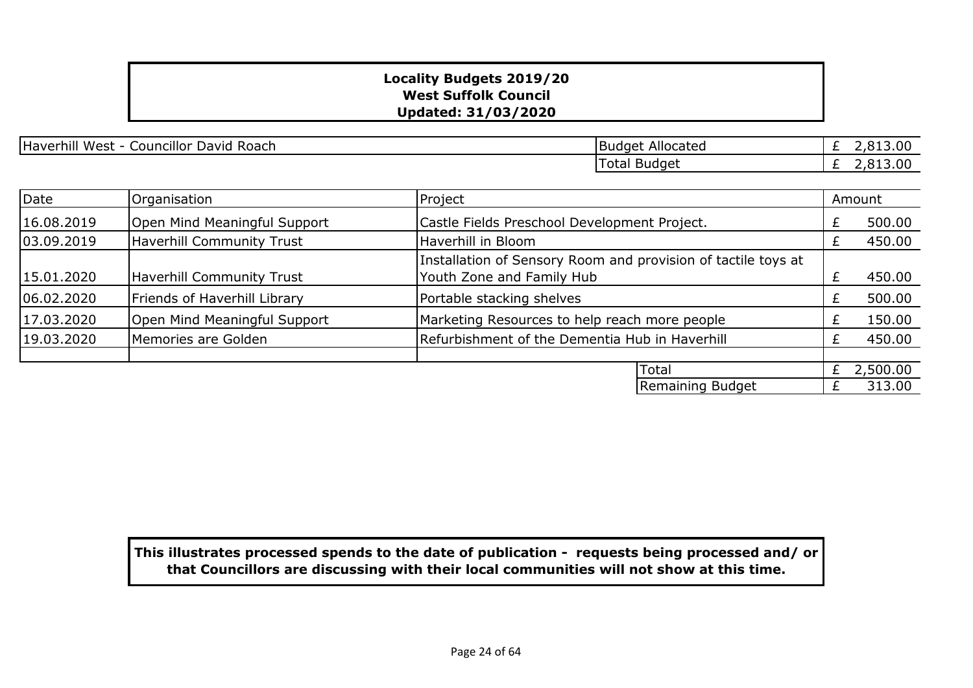Haverhill West - Councillor David Roach

| <b>Budget Allocated</b> | £ 2,813,00 |
|-------------------------|------------|
| Total Budget            | 2.813.00   |

| Date       | Organisation                     | Project                                                                                    |  | Amount   |
|------------|----------------------------------|--------------------------------------------------------------------------------------------|--|----------|
| 16.08.2019 | Open Mind Meaningful Support     | Castle Fields Preschool Development Project.                                               |  | 500.00   |
| 03.09.2019 | <b>Haverhill Community Trust</b> | Haverhill in Bloom                                                                         |  | 450.00   |
| 15.01.2020 | Haverhill Community Trust        | Installation of Sensory Room and provision of tactile toys at<br>Youth Zone and Family Hub |  | 450.00   |
| 06.02.2020 | Friends of Haverhill Library     | Portable stacking shelves                                                                  |  | 500.00   |
| 17.03.2020 | Open Mind Meaningful Support     | Marketing Resources to help reach more people                                              |  | 150.00   |
| 19.03.2020 | Memories are Golden              | Refurbishment of the Dementia Hub in Haverhill                                             |  | 450.00   |
|            |                                  |                                                                                            |  |          |
|            |                                  | Total                                                                                      |  | 2,500.00 |
|            |                                  | Remaining Budget                                                                           |  | 313.00   |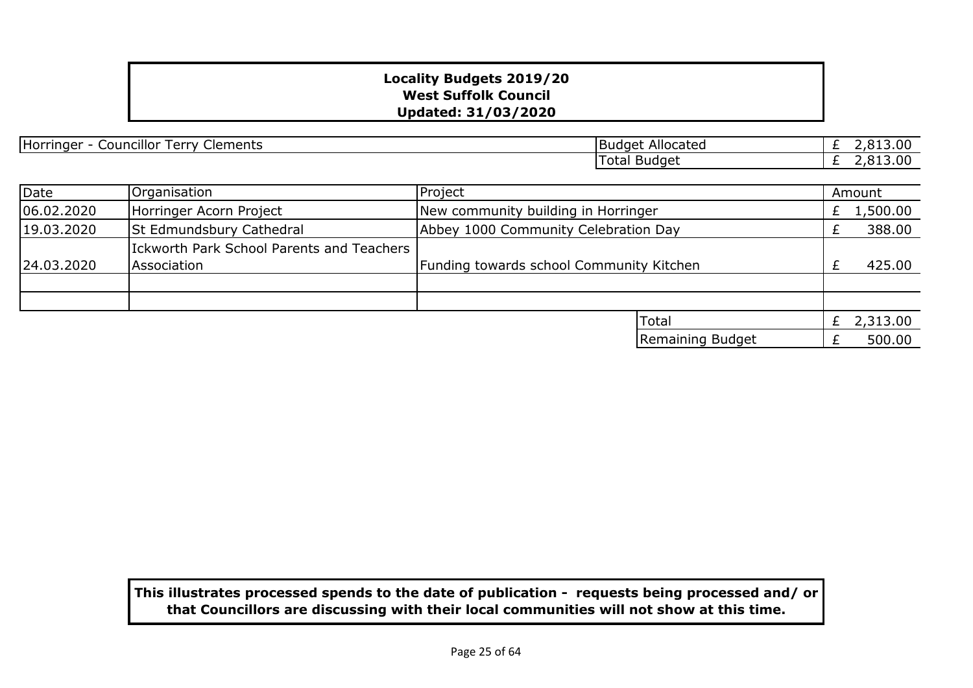| <br>Horringer<br>Clements<br>Councillor<br>l Arry<br>. | Allocated<br>IBudaet |   |
|--------------------------------------------------------|----------------------|---|
|                                                        | Total Budget         | , |

| Date       | Organisation                                             | Project                                  |                  | Amount       |
|------------|----------------------------------------------------------|------------------------------------------|------------------|--------------|
| 06.02.2020 | Horringer Acorn Project                                  | New community building in Horringer      |                  | 1,500.00     |
| 19.03.2020 | <b>St Edmundsbury Cathedral</b>                          | Abbey 1000 Community Celebration Day     |                  | 388.00       |
| 24.03.2020 | Ickworth Park School Parents and Teachers<br>Association | Funding towards school Community Kitchen |                  | 425.00       |
|            |                                                          |                                          |                  |              |
|            |                                                          |                                          | <b>Total</b>     | £ $2,313.00$ |
|            |                                                          |                                          | Remaining Budget | 500.00       |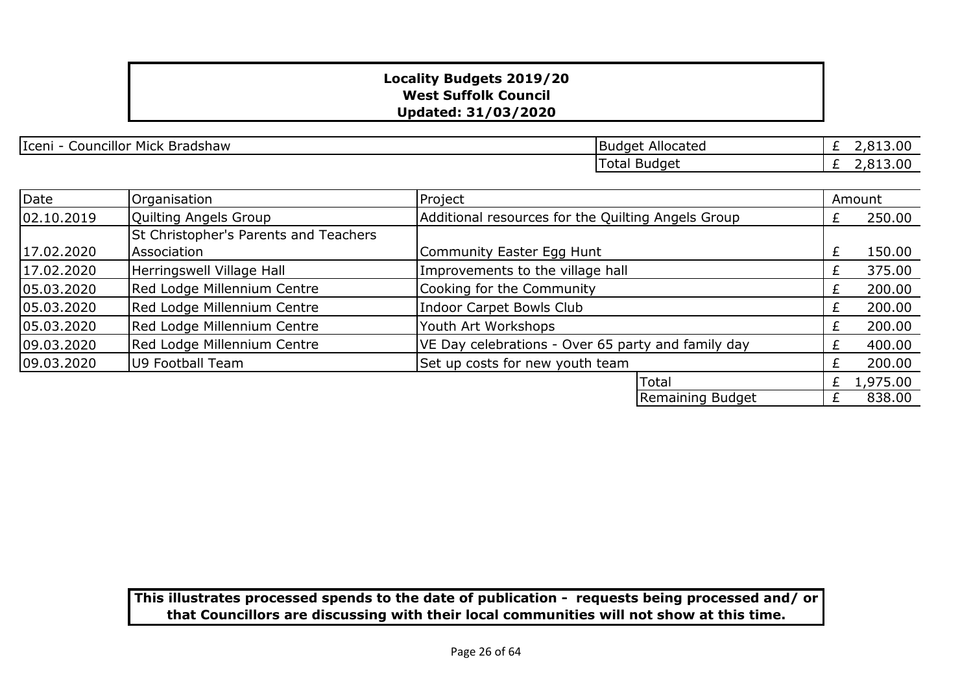Iceni - Councillor Mick Bradshaw Budget Allocated

£ 2,813.00 £ 2,813.00 Total Budget

| <b>Date</b> | Organisation                          | Project                                            |                  |   | Amount   |
|-------------|---------------------------------------|----------------------------------------------------|------------------|---|----------|
| 02.10.2019  | Quilting Angels Group                 | Additional resources for the Quilting Angels Group |                  |   | 250.00   |
|             | St Christopher's Parents and Teachers |                                                    |                  |   |          |
| 17.02.2020  | Association                           | Community Easter Egg Hunt                          |                  | £ | 150.00   |
| 17.02.2020  | Herringswell Village Hall             | Improvements to the village hall                   |                  |   | 375.00   |
| 05.03.2020  | Red Lodge Millennium Centre           | Cooking for the Community                          |                  |   | 200.00   |
| 05.03.2020  | Red Lodge Millennium Centre           | <b>Indoor Carpet Bowls Club</b>                    |                  |   | 200.00   |
| 05.03.2020  | Red Lodge Millennium Centre           | Youth Art Workshops                                |                  |   | 200.00   |
| 09.03.2020  | Red Lodge Millennium Centre           | VE Day celebrations - Over 65 party and family day |                  |   | 400.00   |
| 09.03.2020  | U9 Football Team                      | Set up costs for new youth team                    |                  |   | 200.00   |
|             |                                       |                                                    | Total            |   | 1,975.00 |
|             |                                       |                                                    | Remaining Budget |   | 838.00   |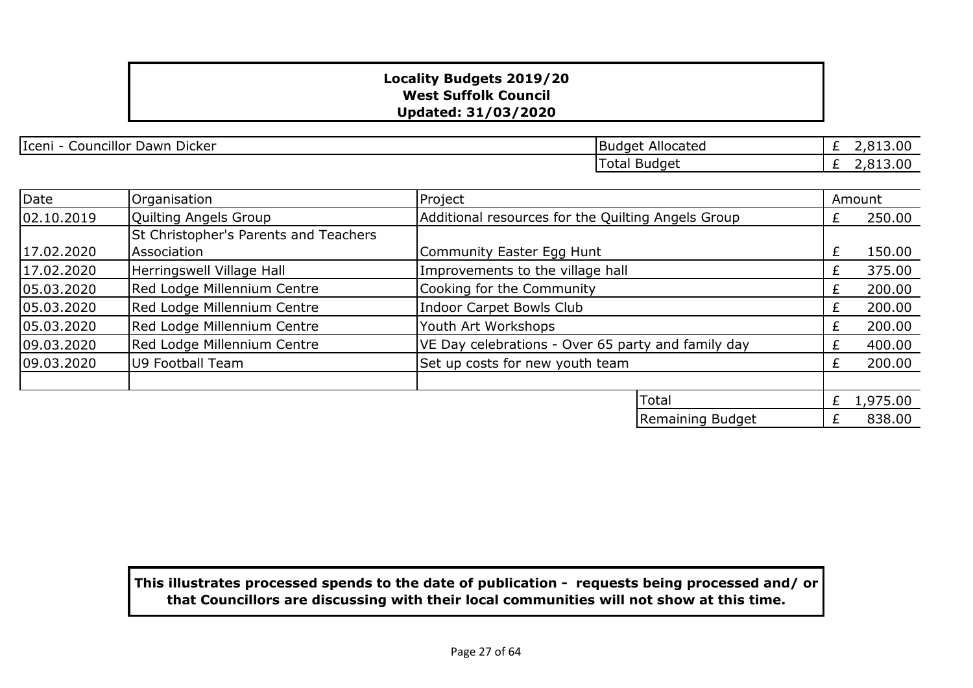Iceni - Councillor Dawn Dicker **Budget Allocated** 

£ 2,813.00 £ 2,813.00 Total Budget

| Date       | Organisation                          | Project                                            |                  |   | Amount   |
|------------|---------------------------------------|----------------------------------------------------|------------------|---|----------|
| 02.10.2019 | Quilting Angels Group                 | Additional resources for the Quilting Angels Group |                  |   | 250.00   |
|            | St Christopher's Parents and Teachers |                                                    |                  |   |          |
| 17.02.2020 | Association                           | Community Easter Egg Hunt                          |                  | £ | 150.00   |
| 17.02.2020 | Herringswell Village Hall             | Improvements to the village hall                   |                  | £ | 375.00   |
| 05.03.2020 | Red Lodge Millennium Centre           | Cooking for the Community                          |                  | £ | 200.00   |
| 05.03.2020 | Red Lodge Millennium Centre           | Indoor Carpet Bowls Club                           |                  |   | 200.00   |
| 05.03.2020 | Red Lodge Millennium Centre           | Youth Art Workshops                                |                  |   | 200.00   |
| 09.03.2020 | Red Lodge Millennium Centre           | VE Day celebrations - Over 65 party and family day |                  |   | 400.00   |
| 09.03.2020 | U9 Football Team                      | Set up costs for new youth team                    |                  | £ | 200.00   |
|            |                                       |                                                    |                  |   |          |
|            |                                       |                                                    | Total            | £ | 1,975.00 |
|            |                                       |                                                    | Remaining Budget |   | 838.00   |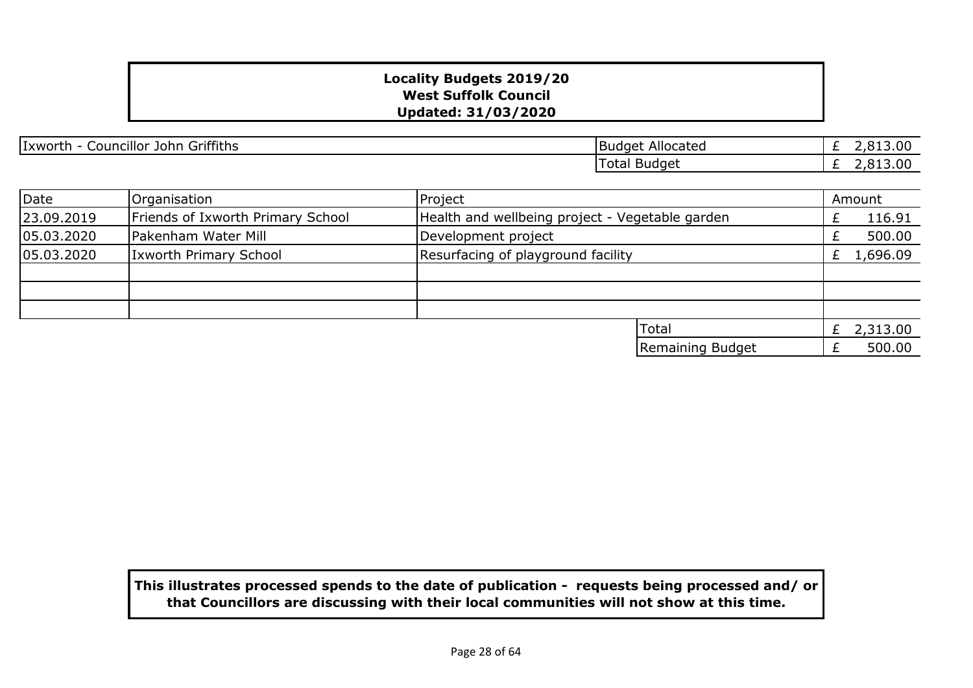| Griffiths<br>Ixworth<br>John<br>Councillor | Allocated<br>. Budaet | .00<br><b>CO</b> - |
|--------------------------------------------|-----------------------|--------------------|
|                                            | Budget<br>' otal      | .00<br>$\sim$      |

| Date       | Organisation                      | Project                                         | Amount   |
|------------|-----------------------------------|-------------------------------------------------|----------|
| 23.09.2019 | Friends of Ixworth Primary School | Health and wellbeing project - Vegetable garden | 116.91   |
| 05.03.2020 | Pakenham Water Mill               | Development project                             | 500.00   |
| 05.03.2020 | <b>Ixworth Primary School</b>     | Resurfacing of playground facility              | 1,696.09 |
|            |                                   |                                                 |          |
|            |                                   |                                                 |          |
|            |                                   |                                                 |          |
|            |                                   | <b>Total</b>                                    | 2,313.00 |
|            |                                   | Remaining Budget                                | 500.00   |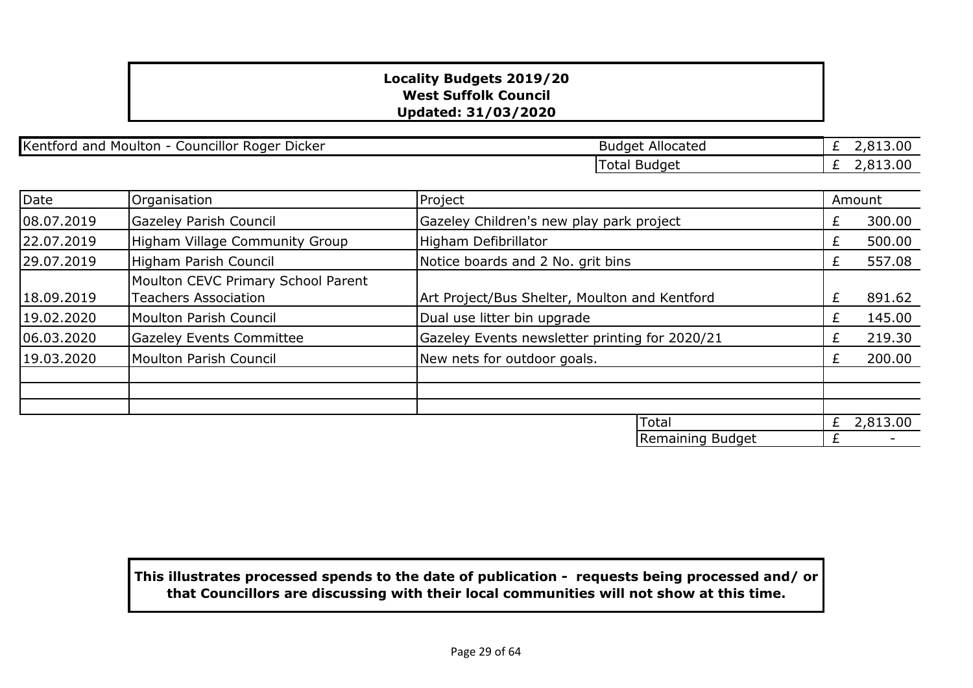Kentford and Moulton - Councillor Roger Dicker Budget Allocated Budget Allocated

£ 2,813.00 £ 2,813.00 Total Budget

| Date       | Organisation                                                      | Project                                        |                  |   | Amount   |
|------------|-------------------------------------------------------------------|------------------------------------------------|------------------|---|----------|
| 08.07.2019 | <b>Gazeley Parish Council</b>                                     | Gazeley Children's new play park project       |                  | Ł | 300.00   |
| 22.07.2019 | Higham Village Community Group                                    | Higham Defibrillator                           |                  | £ | 500.00   |
| 29.07.2019 | Higham Parish Council                                             | Notice boards and 2 No. grit bins              |                  | £ | 557.08   |
| 18.09.2019 | Moulton CEVC Primary School Parent<br><b>Teachers Association</b> | Art Project/Bus Shelter, Moulton and Kentford  |                  | £ | 891.62   |
| 19.02.2020 | Moulton Parish Council                                            | Dual use litter bin upgrade                    |                  | £ | 145.00   |
| 06.03.2020 | <b>Gazeley Events Committee</b>                                   | Gazeley Events newsletter printing for 2020/21 |                  | Ł | 219.30   |
| 19.03.2020 | Moulton Parish Council                                            | New nets for outdoor goals.                    |                  | £ | 200.00   |
|            |                                                                   |                                                |                  |   |          |
|            |                                                                   |                                                | Total            | £ | 2,813.00 |
|            |                                                                   |                                                | Remaining Budget | £ |          |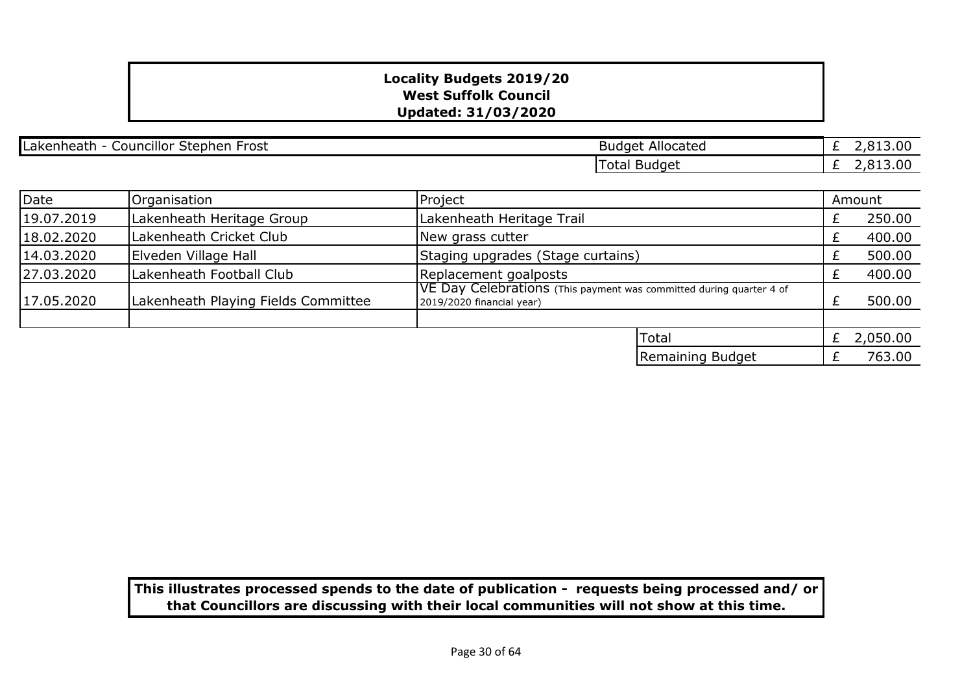| <br>Stepher<br>Laker <sup>.</sup><br>nheatr<br>Councillor<br>-rost | Allocated<br>Budget   | $-13.00$<br>_                |
|--------------------------------------------------------------------|-----------------------|------------------------------|
|                                                                    | otal<br><b>Budget</b> | 13.00<br><b>01</b><br>$\sim$ |

| Date       | Organisation                        | Project                                                                                                  |                  | Amount   |
|------------|-------------------------------------|----------------------------------------------------------------------------------------------------------|------------------|----------|
| 19.07.2019 | Lakenheath Heritage Group           | Lakenheath Heritage Trail                                                                                |                  | 250.00   |
| 18.02.2020 | Lakenheath Cricket Club             | New grass cutter                                                                                         |                  | 400.00   |
| 14.03.2020 | Elveden Village Hall                | Staging upgrades (Stage curtains)                                                                        |                  | 500.00   |
| 27.03.2020 | Lakenheath Football Club            | Replacement goalposts                                                                                    |                  | 400.00   |
| 17.05.2020 | Lakenheath Playing Fields Committee | <b>IVE Day Celebrations</b> (This payment was committed during quarter 4 of<br>2019/2020 financial year) |                  | 500.00   |
|            |                                     |                                                                                                          |                  |          |
|            |                                     |                                                                                                          | <b>Total</b>     | 2,050.00 |
|            |                                     |                                                                                                          | Remaining Budget | 763.00   |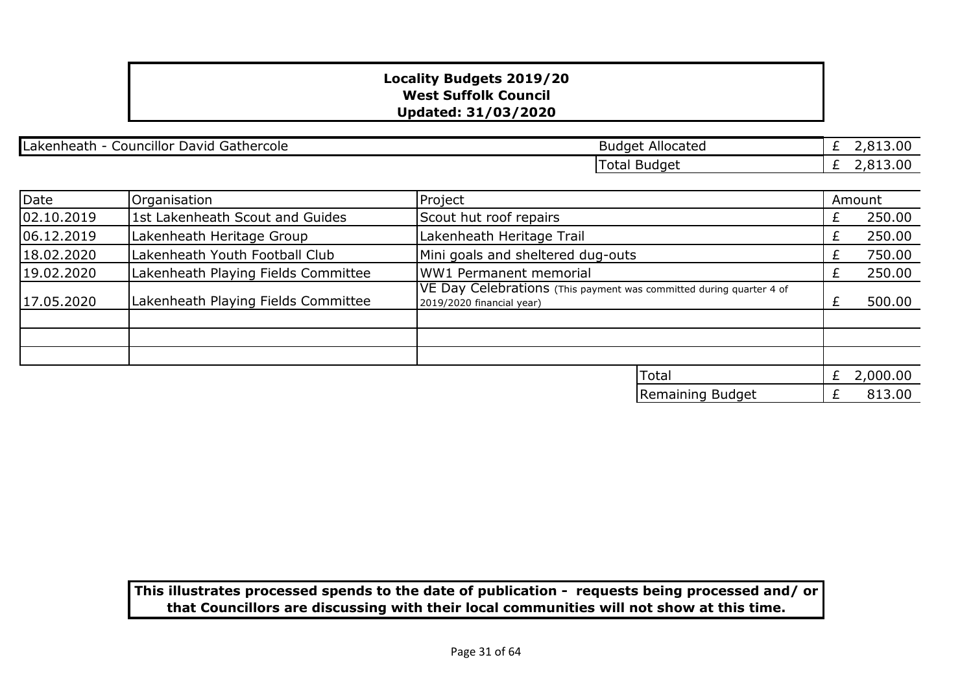Lakenheath - Councillor David Gathercole **Budget Allocated** Budget Allocated

£ 2,813.00  $\overline{E}$  2,813.00 Total Budget

| Date       | Organisation                        | Project                                                                                          |   | Amount   |
|------------|-------------------------------------|--------------------------------------------------------------------------------------------------|---|----------|
| 02.10.2019 | 1st Lakenheath Scout and Guides     | Scout hut roof repairs                                                                           | £ | 250.00   |
| 06.12.2019 | Lakenheath Heritage Group           | Lakenheath Heritage Trail                                                                        |   | 250.00   |
| 18.02.2020 | Lakenheath Youth Football Club      | Mini goals and sheltered dug-outs                                                                | £ | 750.00   |
| 19.02.2020 | Lakenheath Playing Fields Committee | WW1 Permanent memorial                                                                           |   | 250.00   |
| 17.05.2020 | Lakenheath Playing Fields Committee | VE Day Celebrations (This payment was committed during quarter 4 of<br>2019/2020 financial year) |   | 500.00   |
|            |                                     |                                                                                                  |   |          |
|            |                                     |                                                                                                  |   |          |
|            |                                     |                                                                                                  |   |          |
|            |                                     | Total                                                                                            | £ | 2,000.00 |
|            |                                     | Remaining Budget                                                                                 |   | 813.00   |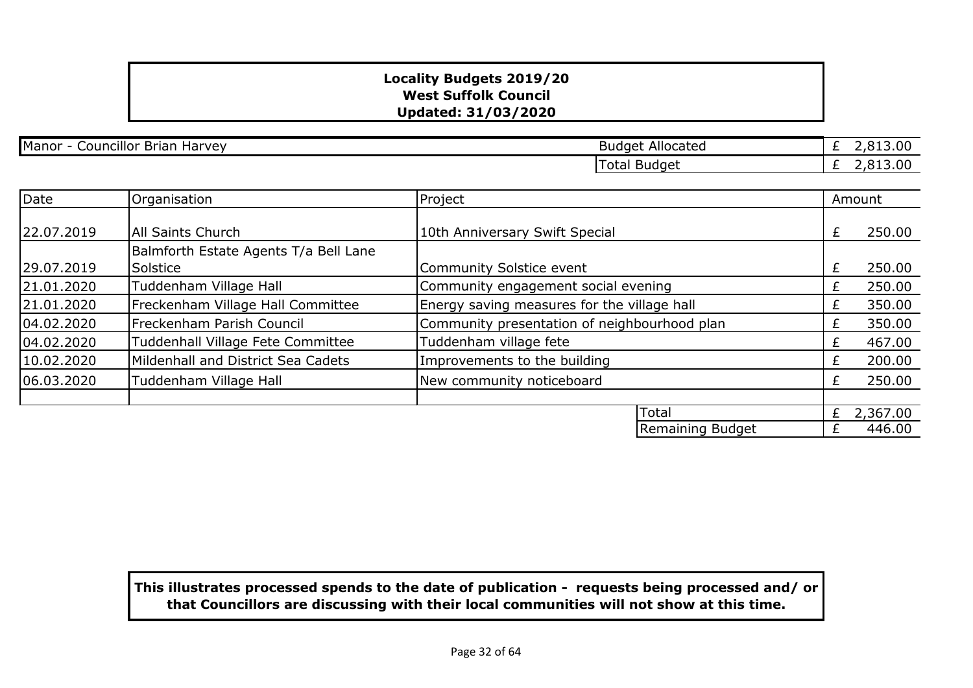Manor - Councillor Brian Harvey **Budget Allocated** Budget Allocated

 $\sqrt{2}$  2,912.00 Total Budget

|  | 5,013.00 |
|--|----------|
|  | 2,813.00 |

| Date       | Organisation                                      | Project                                      |                  |    | Amount   |
|------------|---------------------------------------------------|----------------------------------------------|------------------|----|----------|
| 22.07.2019 | All Saints Church                                 | 10th Anniversary Swift Special               |                  | £  | 250.00   |
| 29.07.2019 | Balmforth Estate Agents T/a Bell Lane<br>Solstice | Community Solstice event                     |                  | £  | 250.00   |
| 21.01.2020 | Tuddenham Village Hall                            | Community engagement social evening          |                  | Ł. | 250.00   |
| 21.01.2020 | Freckenham Village Hall Committee                 | Energy saving measures for the village hall  |                  | Ł  | 350.00   |
| 04.02.2020 | Freckenham Parish Council                         | Community presentation of neighbourhood plan |                  | £  | 350.00   |
| 04.02.2020 | Tuddenhall Village Fete Committee                 | Tuddenham village fete                       |                  | £  | 467.00   |
| 10.02.2020 | Mildenhall and District Sea Cadets                | Improvements to the building                 |                  | £  | 200.00   |
| 06.03.2020 | Tuddenham Village Hall                            | New community noticeboard                    |                  | £  | 250.00   |
|            |                                                   |                                              |                  |    |          |
|            |                                                   |                                              | Total            | £  | 2,367.00 |
|            |                                                   |                                              | Remaining Budget |    | 446.00   |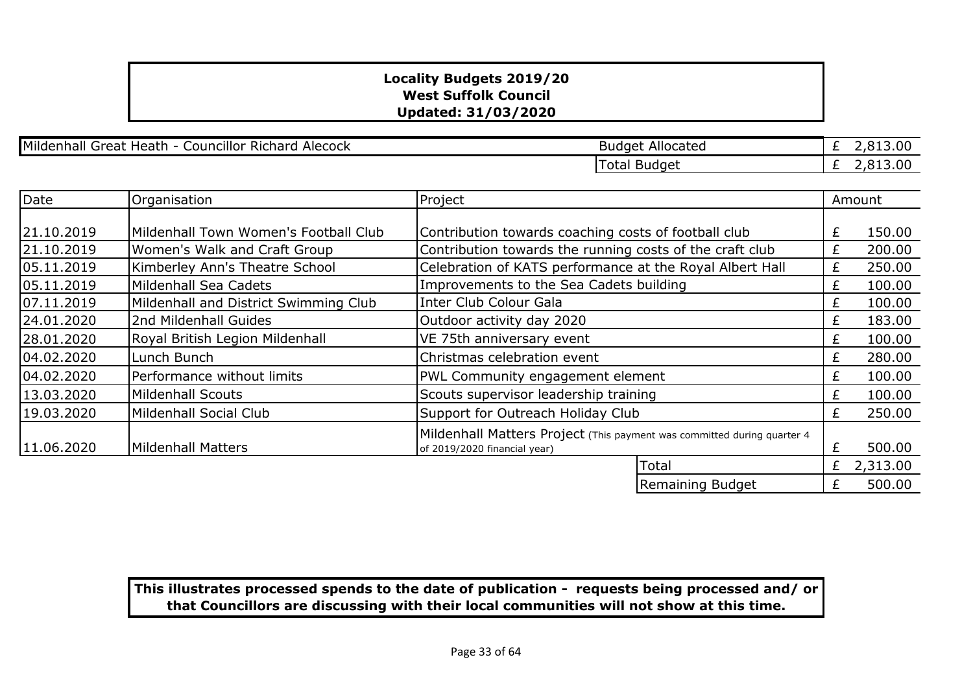Mildenhall Great Heath - Councillor Richard Alecock Budget Allocated

 $\frac{1}{2}$  2,813.00 Total Budget

|  | 2,019.00 |
|--|----------|
|  | 2,813.00 |

| Date       | Organisation                          | Project                                                                 |                  |   | Amount   |
|------------|---------------------------------------|-------------------------------------------------------------------------|------------------|---|----------|
|            |                                       |                                                                         |                  |   |          |
| 21.10.2019 | Mildenhall Town Women's Football Club | Contribution towards coaching costs of football club                    |                  | £ | 150.00   |
| 21.10.2019 | Women's Walk and Craft Group          | Contribution towards the running costs of the craft club                |                  | £ | 200.00   |
| 05.11.2019 | Kimberley Ann's Theatre School        | Celebration of KATS performance at the Royal Albert Hall                |                  | £ | 250.00   |
| 05.11.2019 | Mildenhall Sea Cadets                 | Improvements to the Sea Cadets building                                 |                  | £ | 100.00   |
| 07.11.2019 | Mildenhall and District Swimming Club | Inter Club Colour Gala                                                  |                  | £ | 100.00   |
| 24.01.2020 | 2nd Mildenhall Guides                 | Outdoor activity day 2020                                               |                  | £ | 183.00   |
| 28.01.2020 | Royal British Legion Mildenhall       | VE 75th anniversary event                                               |                  | £ | 100.00   |
| 04.02.2020 | Lunch Bunch                           | Christmas celebration event                                             |                  | £ | 280.00   |
| 04.02.2020 | Performance without limits            | PWL Community engagement element                                        |                  | £ | 100.00   |
| 13.03.2020 | <b>Mildenhall Scouts</b>              | Scouts supervisor leadership training                                   |                  | £ | 100.00   |
| 19.03.2020 | Mildenhall Social Club                | Support for Outreach Holiday Club                                       |                  | £ | 250.00   |
|            |                                       | Mildenhall Matters Project (This payment was committed during quarter 4 |                  |   |          |
| 11.06.2020 | Mildenhall Matters                    | of 2019/2020 financial year)                                            |                  | £ | 500.00   |
|            |                                       |                                                                         | Total            | £ | 2,313.00 |
|            |                                       |                                                                         | Remaining Budget | £ | 500.00   |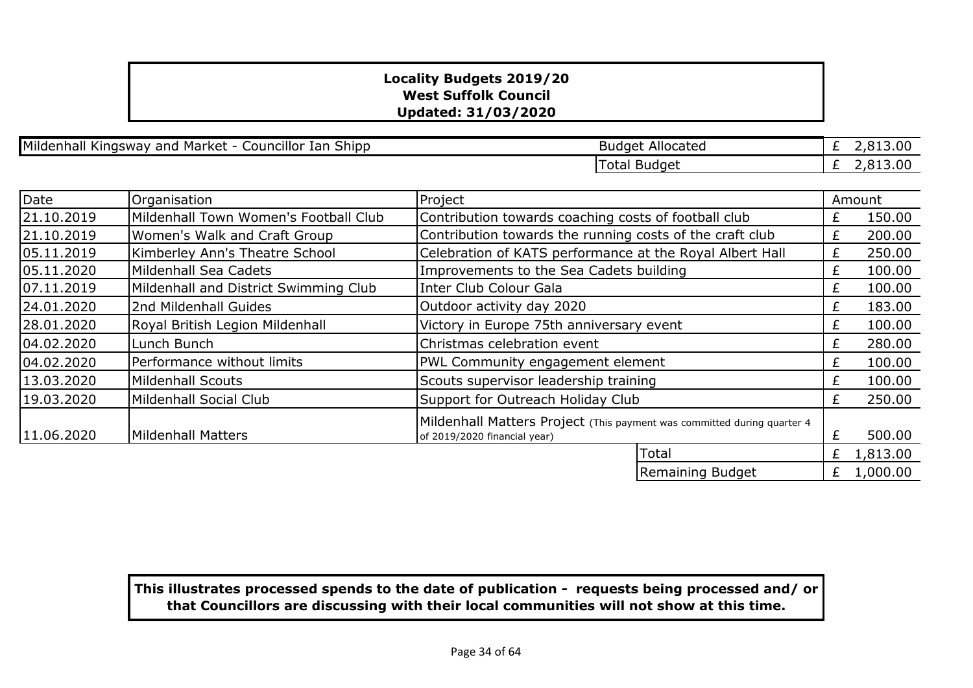Mildenhall Kingsway and Market - Councillor Ian Shipp

| <b>Budget Allocated</b> | £ 2,813.00   |
|-------------------------|--------------|
| Total Budget            | £ $2,813.00$ |

| Date       | Organisation                          | Project                                                                                                 |                  |   | Amount   |
|------------|---------------------------------------|---------------------------------------------------------------------------------------------------------|------------------|---|----------|
| 21.10.2019 | Mildenhall Town Women's Football Club | Contribution towards coaching costs of football club                                                    |                  | £ | 150.00   |
| 21.10.2019 | Women's Walk and Craft Group          | Contribution towards the running costs of the craft club                                                |                  | £ | 200.00   |
| 05.11.2019 | Kimberley Ann's Theatre School        | Celebration of KATS performance at the Royal Albert Hall                                                |                  | £ | 250.00   |
| 05.11.2020 | Mildenhall Sea Cadets                 | Improvements to the Sea Cadets building                                                                 |                  | £ | 100.00   |
| 07.11.2019 | Mildenhall and District Swimming Club | Inter Club Colour Gala                                                                                  |                  | £ | 100.00   |
| 24.01.2020 | 2nd Mildenhall Guides                 | Outdoor activity day 2020                                                                               |                  | £ | 183.00   |
| 28.01.2020 | Royal British Legion Mildenhall       | Victory in Europe 75th anniversary event                                                                |                  | £ | 100.00   |
| 04.02.2020 | Lunch Bunch                           | Christmas celebration event                                                                             |                  | £ | 280.00   |
| 04.02.2020 | Performance without limits            | PWL Community engagement element                                                                        |                  | £ | 100.00   |
| 13.03.2020 | Mildenhall Scouts                     | Scouts supervisor leadership training                                                                   |                  | £ | 100.00   |
| 19.03.2020 | Mildenhall Social Club                | Support for Outreach Holiday Club                                                                       |                  | £ | 250.00   |
| 11.06.2020 | Mildenhall Matters                    | Mildenhall Matters Project (This payment was committed during quarter 4<br>of 2019/2020 financial year) |                  | £ | 500.00   |
|            |                                       |                                                                                                         | Total            | £ | 1,813.00 |
|            |                                       |                                                                                                         | Remaining Budget | £ | 1,000.00 |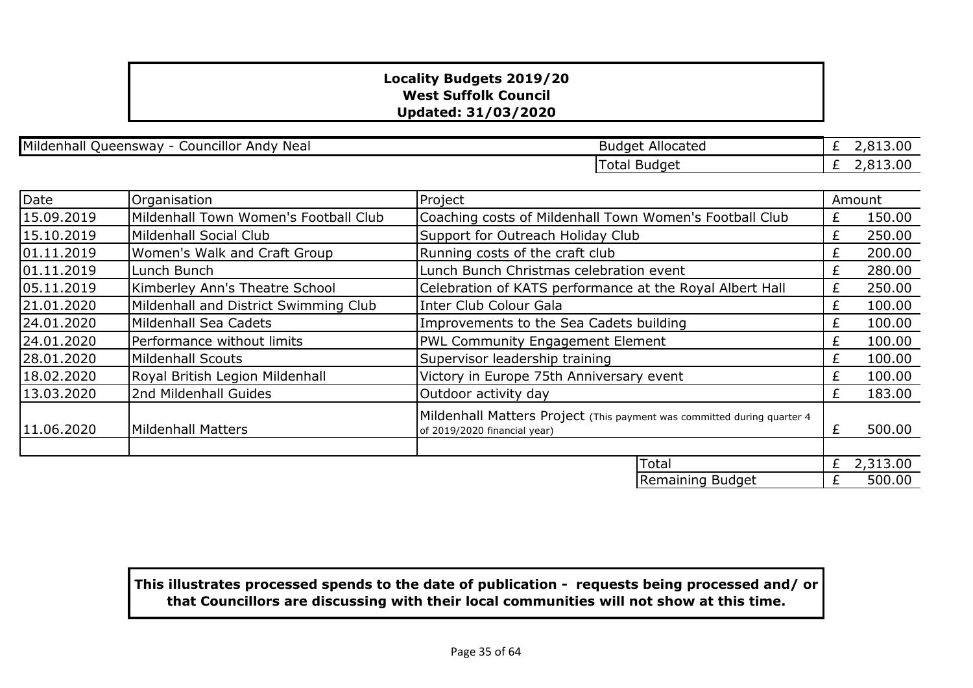Mildenhall Queensway - Councillor Andy Neal

| <b>Budget Allocated</b> | £ 2,813.00 |
|-------------------------|------------|
| Total Budget            | £ 2,813,00 |

| Date       | Organisation                          | Project                                                                                                 |   | Amount   |
|------------|---------------------------------------|---------------------------------------------------------------------------------------------------------|---|----------|
| 15.09.2019 | Mildenhall Town Women's Football Club | Coaching costs of Mildenhall Town Women's Football Club                                                 | £ | 150.00   |
| 15.10.2019 | Mildenhall Social Club                | Support for Outreach Holiday Club                                                                       | £ | 250.00   |
| 01.11.2019 | Women's Walk and Craft Group          | Running costs of the craft club                                                                         | £ | 200.00   |
| 01.11.2019 | Lunch Bunch                           | Lunch Bunch Christmas celebration event                                                                 | £ | 280.00   |
| 05.11.2019 | Kimberley Ann's Theatre School        | Celebration of KATS performance at the Royal Albert Hall                                                | £ | 250.00   |
| 21.01.2020 | Mildenhall and District Swimming Club | Inter Club Colour Gala                                                                                  | £ | 100.00   |
| 24.01.2020 | <b>Mildenhall Sea Cadets</b>          | Improvements to the Sea Cadets building                                                                 |   | 100.00   |
| 24.01.2020 | Performance without limits            | <b>PWL Community Engagement Element</b>                                                                 |   | 100.00   |
| 28.01.2020 | <b>Mildenhall Scouts</b>              | Supervisor leadership training                                                                          |   | 100.00   |
| 18.02.2020 | Royal British Legion Mildenhall       | Victory in Europe 75th Anniversary event                                                                |   | 100.00   |
| 13.03.2020 | 2nd Mildenhall Guides                 | Outdoor activity day                                                                                    |   | 183.00   |
| 11.06.2020 | <b>Mildenhall Matters</b>             | Mildenhall Matters Project (This payment was committed during quarter 4<br>of 2019/2020 financial year) | £ | 500.00   |
|            |                                       | Total                                                                                                   | £ | 2,313.00 |
|            |                                       | Remaining Budget                                                                                        | £ | 500.00   |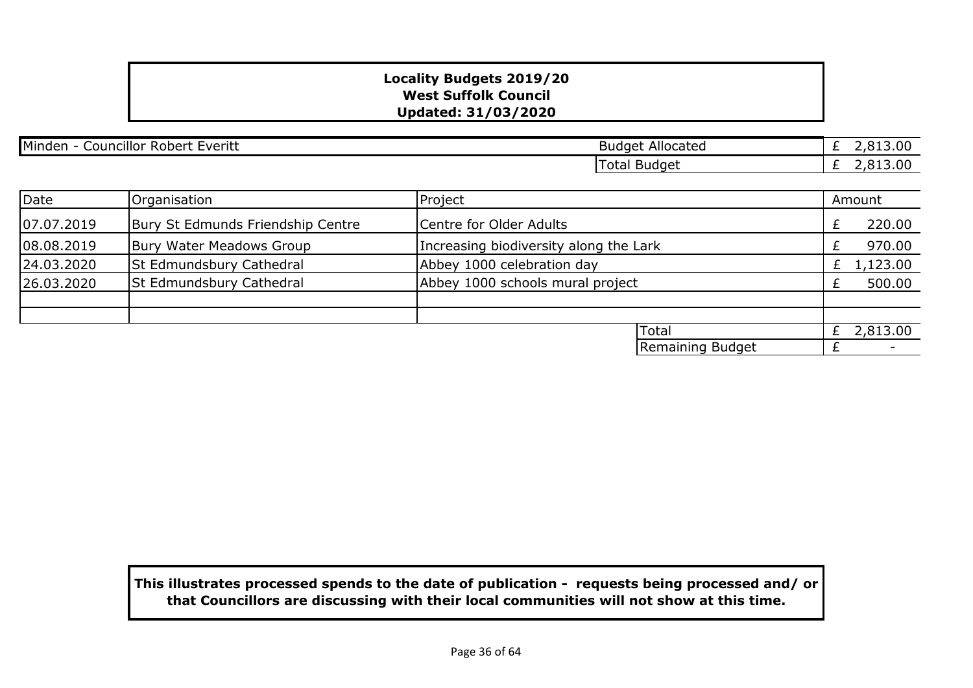| Minden<br><br><b>Lveriti</b><br>Councillor Robert<br>LVEIILL | Allocated<br>Budget | 3.00<br>$\sim$<br>$\sim$ |
|--------------------------------------------------------------|---------------------|--------------------------|
|                                                              | Total Budget        | 13.00<br>$\sim$ $\sim$   |

| Date       | Organisation                      | Project                                |                  | Amount       |
|------------|-----------------------------------|----------------------------------------|------------------|--------------|
| 07.07.2019 | Bury St Edmunds Friendship Centre | Centre for Older Adults                |                  | 220.00       |
| 08.08.2019 | Bury Water Meadows Group          | Increasing biodiversity along the Lark |                  | 970.00       |
| 24.03.2020 | St Edmundsbury Cathedral          | Abbey 1000 celebration day             |                  | £ $1,123.00$ |
| 26.03.2020 | St Edmundsbury Cathedral          | Abbey 1000 schools mural project       |                  | 500.00       |
|            |                                   |                                        |                  |              |
|            |                                   |                                        |                  |              |
|            |                                   |                                        | <b>ITotal</b>    | 2,813.00     |
|            |                                   |                                        | Remaining Budget |              |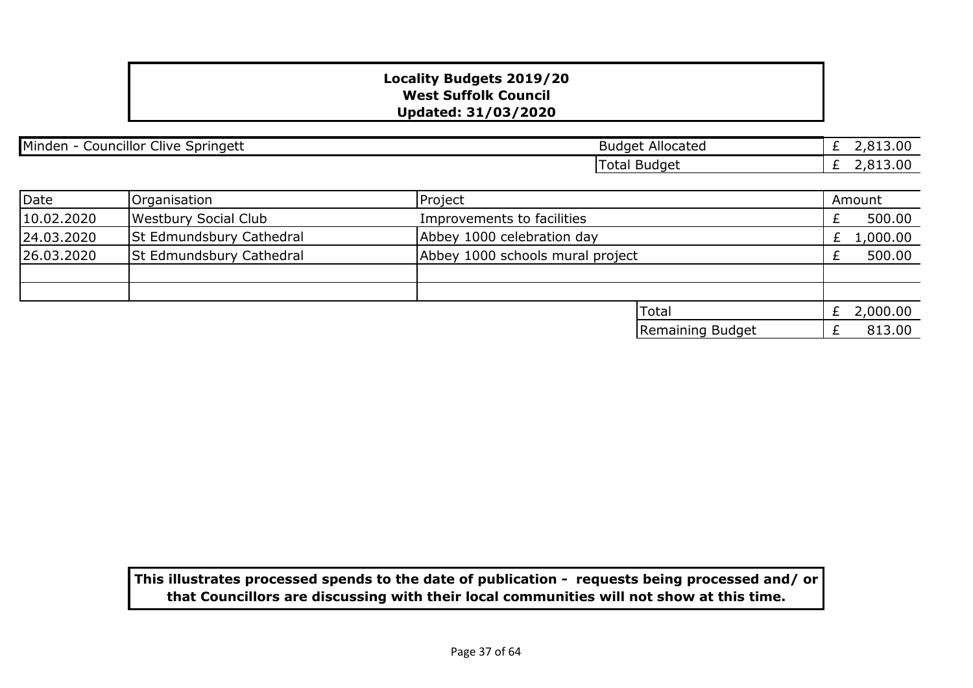| Minden - Councillor Clive Springett |                             | <b>Budget Allocated</b>          | 2,813.00<br>£ |
|-------------------------------------|-----------------------------|----------------------------------|---------------|
|                                     |                             | <b>Total Budget</b>              | £ $2,813.00$  |
|                                     |                             |                                  |               |
| Date                                | Organisation                | Project                          | Amount        |
| 10.02.2020                          | <b>Westbury Social Club</b> | Improvements to facilities       | 500.00        |
| 24.03.2020                          | St Edmundsbury Cathedral    | Abbey 1000 celebration day       | 1,000.00<br>£ |
| 26.03.2020                          | St Edmundsbury Cathedral    | Abbey 1000 schools mural project | 500.00        |
|                                     |                             |                                  |               |
|                                     |                             |                                  |               |
|                                     |                             | Total                            | £ 2,000.00    |
|                                     |                             | Remaining Budget                 | 813.00<br>Ł   |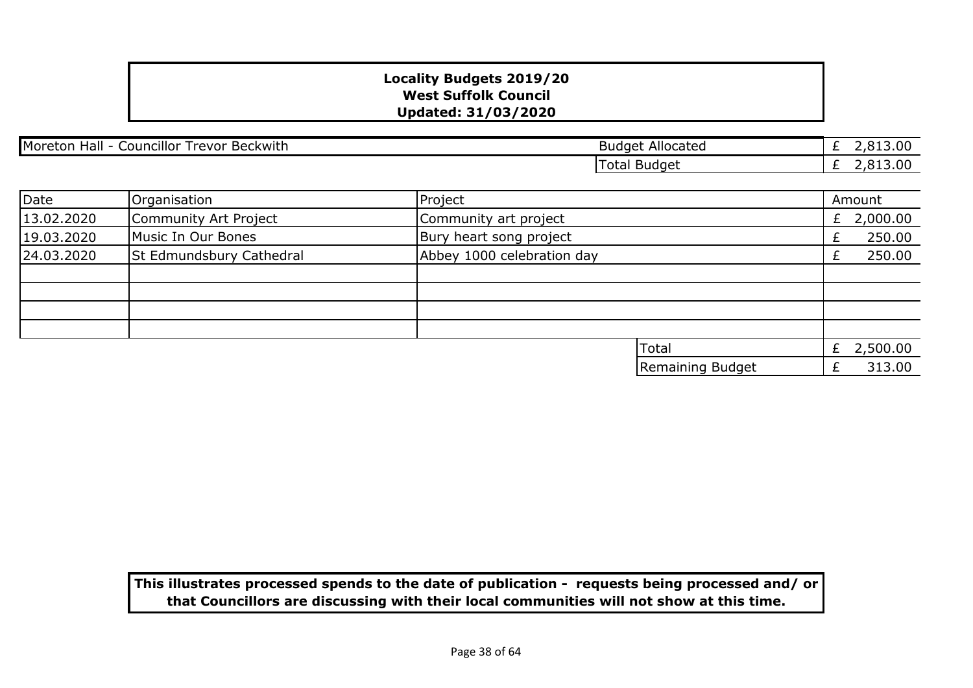| Moreton Hall - Councillor Trevor Beckwith |                          | <b>Budget Allocated</b>    | £ $2,813.00$  |
|-------------------------------------------|--------------------------|----------------------------|---------------|
|                                           |                          | <b>Total Budget</b>        | £ $2,813.00$  |
|                                           |                          |                            |               |
| Date                                      | Organisation             | Project                    | Amount        |
| 13.02.2020                                | Community Art Project    | Community art project      | 2,000.00<br>£ |
| 19.03.2020                                | Music In Our Bones       | Bury heart song project    | 250.00<br>£   |
| 24.03.2020                                | St Edmundsbury Cathedral | Abbey 1000 celebration day | 250.00<br>Ł.  |
|                                           |                          |                            |               |
|                                           |                          |                            |               |
|                                           |                          |                            |               |
|                                           |                          |                            |               |
|                                           |                          | <b>Total</b>               | 2,500.00<br>£ |
|                                           |                          | Remaining Budget           | 313.00        |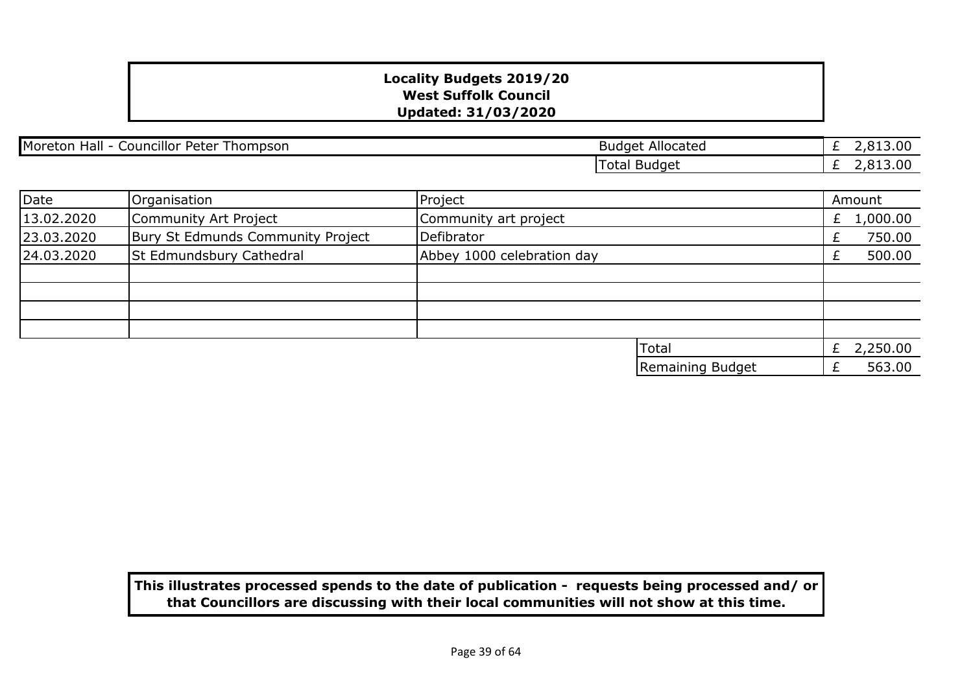| Moreton Hall - Councillor Peter Thompson |  |
|------------------------------------------|--|
|                                          |  |

£ 2,813.00  $\overline{E}$  2,813.00 **Budget Allocated** Total Budget

| Date       | Organisation                      | Project                    |                  | Amount       |
|------------|-----------------------------------|----------------------------|------------------|--------------|
| 13.02.2020 | Community Art Project             | Community art project      |                  | £ $1,000.00$ |
| 23.03.2020 | Bury St Edmunds Community Project | Defibrator                 |                  | 750.00       |
| 24.03.2020 | St Edmundsbury Cathedral          | Abbey 1000 celebration day |                  | 500.00       |
|            |                                   |                            |                  |              |
|            |                                   |                            |                  |              |
|            |                                   |                            |                  |              |
|            |                                   |                            |                  |              |
|            |                                   |                            | <b>Total</b>     | 2,250.00     |
|            |                                   |                            | Remaining Budget | 563.00       |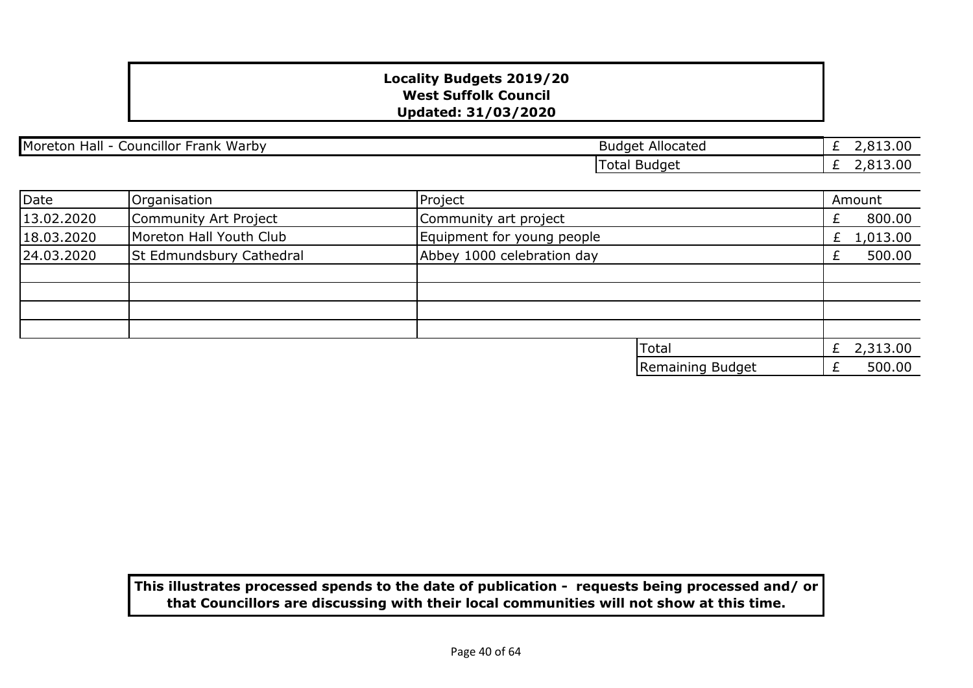| Moreton Hall - Councillor Frank Warby |                          | <b>Budget Allocated</b>    | 2,813.00<br>£  |
|---------------------------------------|--------------------------|----------------------------|----------------|
|                                       |                          | <b>Total Budget</b>        | 2,813.00<br>£  |
|                                       |                          |                            |                |
| Date                                  | Organisation             | Project                    | Amount         |
| 13.02.2020                            | Community Art Project    | Community art project      | 800.00<br>÷.   |
| 18.03.2020                            | Moreton Hall Youth Club  | Equipment for young people | 1,013.00<br>£. |
| 24.03.2020                            | St Edmundsbury Cathedral | Abbey 1000 celebration day | 500.00<br>£    |
|                                       |                          |                            |                |
|                                       |                          |                            |                |
|                                       |                          |                            |                |
|                                       |                          |                            |                |
|                                       |                          | Total                      | £ $2,313.00$   |
|                                       |                          | Remaining Budget           | 500.00<br>£    |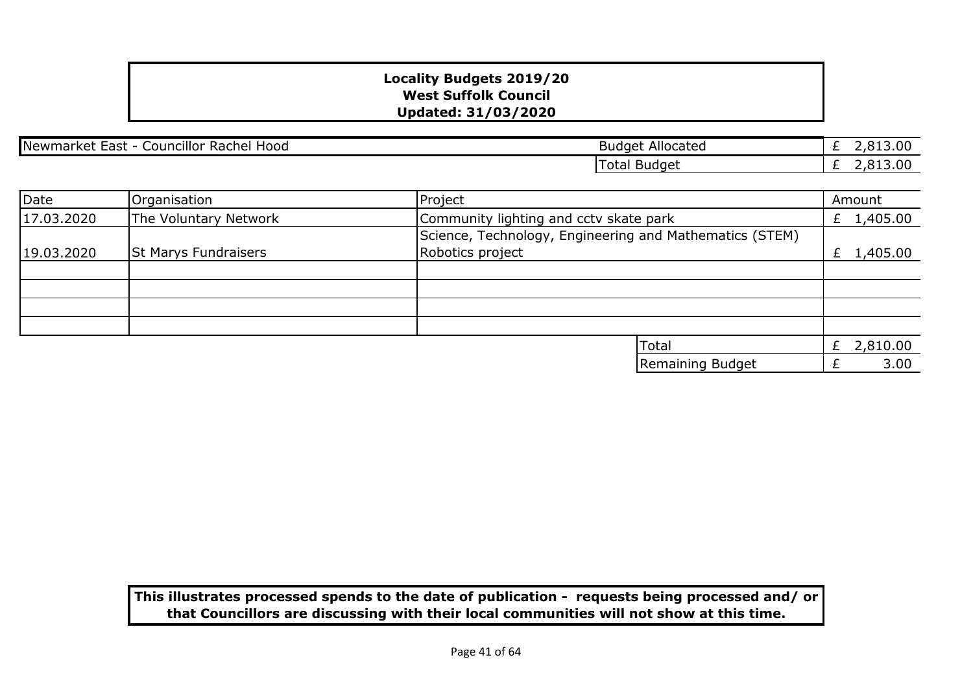£ 2,813.00  $\overline{2,813.00}$ 

| Newmarket<br>Councillor<br>Hood<br>Rachel<br>- East - | Allocated<br><b>Budget</b>         |
|-------------------------------------------------------|------------------------------------|
|                                                       | <b>Budget</b><br><sup>r</sup> otal |

| Date       | Organisation                | Project                                                                     | Amount       |
|------------|-----------------------------|-----------------------------------------------------------------------------|--------------|
| 17.03.2020 | The Voluntary Network       | Community lighting and cctv skate park                                      | £ $1,405.00$ |
| 19.03.2020 | <b>St Marys Fundraisers</b> | Science, Technology, Engineering and Mathematics (STEM)<br>Robotics project | £ $1,405.00$ |
|            |                             |                                                                             |              |
|            |                             |                                                                             |              |
|            |                             |                                                                             |              |
|            |                             |                                                                             |              |
|            |                             | Total                                                                       | 2,810.00     |
|            |                             | Remaining Budget                                                            | 3.00         |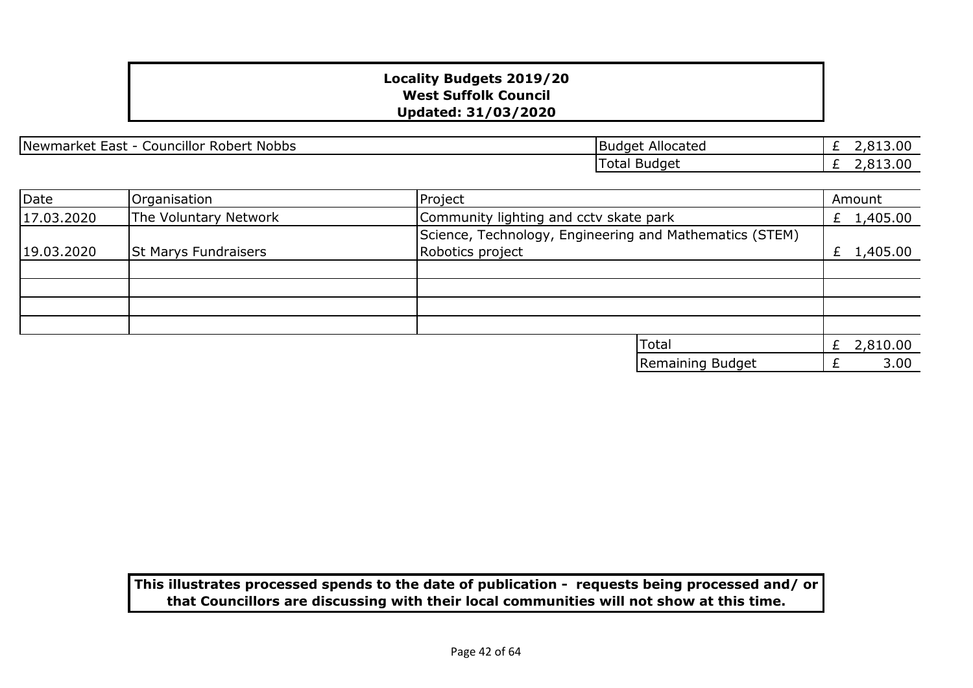Newmarket East - Councillor Robert Nobbs | Newmarket East - Councillor Robert Nobbs

£ 2,813.00 £ 2,813.00 Total Budget

| Date       | Organisation                | Project                                                                     | Amount     |
|------------|-----------------------------|-----------------------------------------------------------------------------|------------|
| 17.03.2020 | The Voluntary Network       | Community lighting and cctv skate park                                      | £ 1,405.00 |
| 19.03.2020 | <b>St Marys Fundraisers</b> | Science, Technology, Engineering and Mathematics (STEM)<br>Robotics project | £ 1,405.00 |
|            |                             |                                                                             |            |
|            |                             |                                                                             |            |
|            |                             |                                                                             |            |
|            |                             |                                                                             |            |
|            |                             | Total                                                                       | £ 2,810.00 |
|            |                             | Remaining Budget                                                            | 3.00       |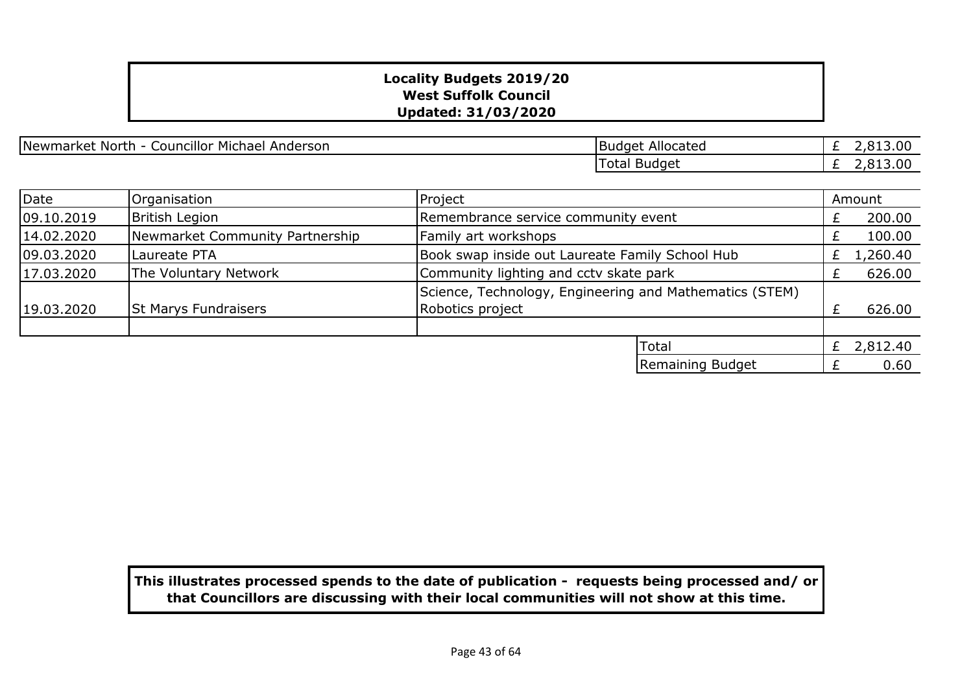Newmarket North - Councillor Michael Anderson

| <b>Budget Allocated</b> |  | £ 2,813.00 |
|-------------------------|--|------------|
| Total Budget            |  | £ 2,813.00 |

| Date       | Organisation                    | Project                                                                     |  | Amount       |
|------------|---------------------------------|-----------------------------------------------------------------------------|--|--------------|
| 09.10.2019 | <b>British Legion</b>           | Remembrance service community event                                         |  | 200.00       |
| 14.02.2020 | Newmarket Community Partnership | Family art workshops                                                        |  | 100.00       |
| 09.03.2020 | Laureate PTA                    | Book swap inside out Laureate Family School Hub                             |  | 1,260.40     |
| 17.03.2020 | The Voluntary Network           | Community lighting and cctv skate park                                      |  | 626.00       |
| 19.03.2020 | <b>St Marys Fundraisers</b>     | Science, Technology, Engineering and Mathematics (STEM)<br>Robotics project |  | 626.00       |
|            |                                 |                                                                             |  |              |
|            |                                 | Total                                                                       |  | £ $2,812.40$ |
|            |                                 | Remaining Budget                                                            |  | 0.60         |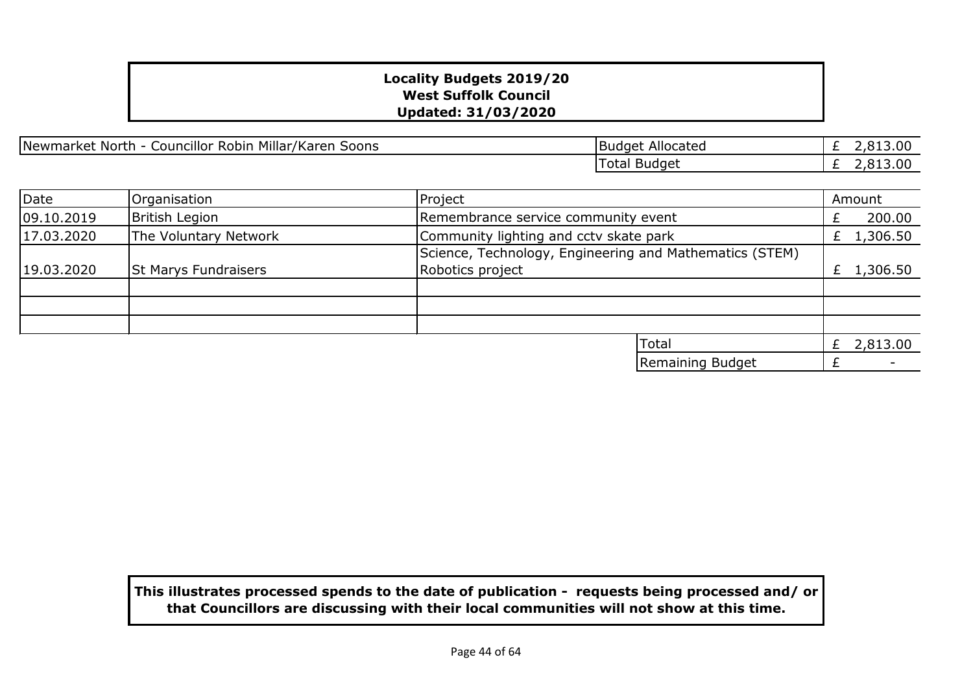Newmarket North - Councillor Robin Millar/Karen Soons

| <b>Budget Allocated</b> | £ 2,813.00 |
|-------------------------|------------|
| <b>Total Budget</b>     | £ 2,813,00 |

| Date       | Organisation                | Project                                                                     | Amount   |
|------------|-----------------------------|-----------------------------------------------------------------------------|----------|
| 09.10.2019 | <b>British Legion</b>       | Remembrance service community event                                         | 200.00   |
| 17.03.2020 | The Voluntary Network       | Community lighting and cctv skate park                                      | 1,306.50 |
| 19.03.2020 | <b>St Marys Fundraisers</b> | Science, Technology, Engineering and Mathematics (STEM)<br>Robotics project | 1,306.50 |
|            |                             |                                                                             |          |
|            |                             | Total                                                                       | 2,813.00 |
|            |                             | Remaining Budget                                                            |          |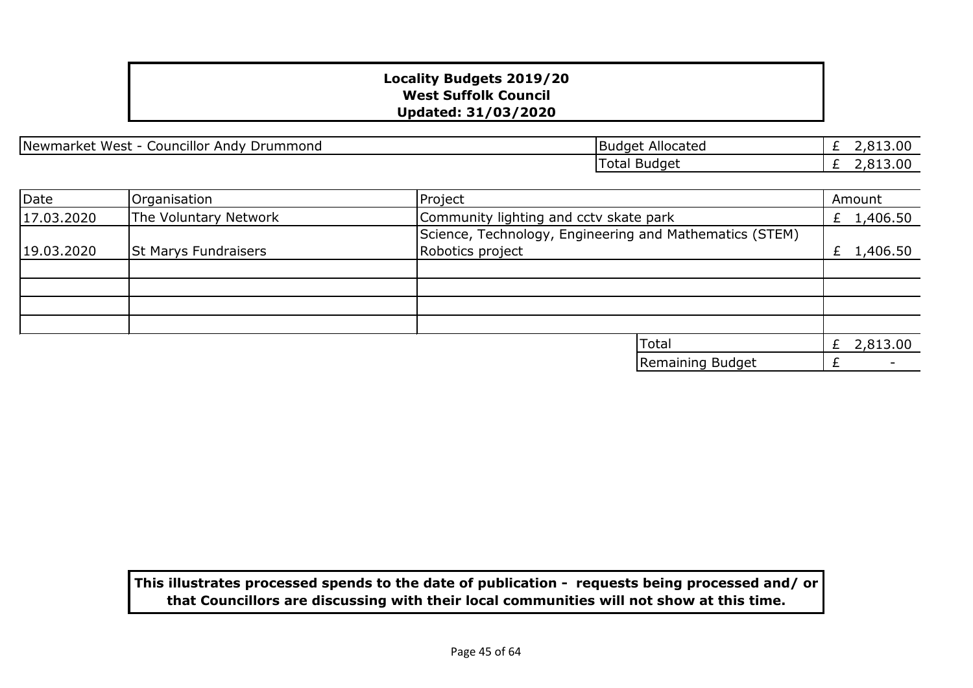Newmarket West - Councillor Andy Drummond and Budget Allocated

£ 2,813.00 £ 2,813.00 Total Budget

| Date       | Organisation                | Project                                                                     | Amount       |
|------------|-----------------------------|-----------------------------------------------------------------------------|--------------|
| 17.03.2020 | The Voluntary Network       | Community lighting and cctv skate park                                      | £ $1,406.50$ |
| 19.03.2020 | <b>St Marys Fundraisers</b> | Science, Technology, Engineering and Mathematics (STEM)<br>Robotics project | £ 1,406.50   |
|            |                             |                                                                             |              |
|            |                             |                                                                             |              |
|            |                             |                                                                             |              |
|            |                             |                                                                             |              |
|            |                             | Total                                                                       | 2,813.00     |
|            |                             | Remaining Budget                                                            |              |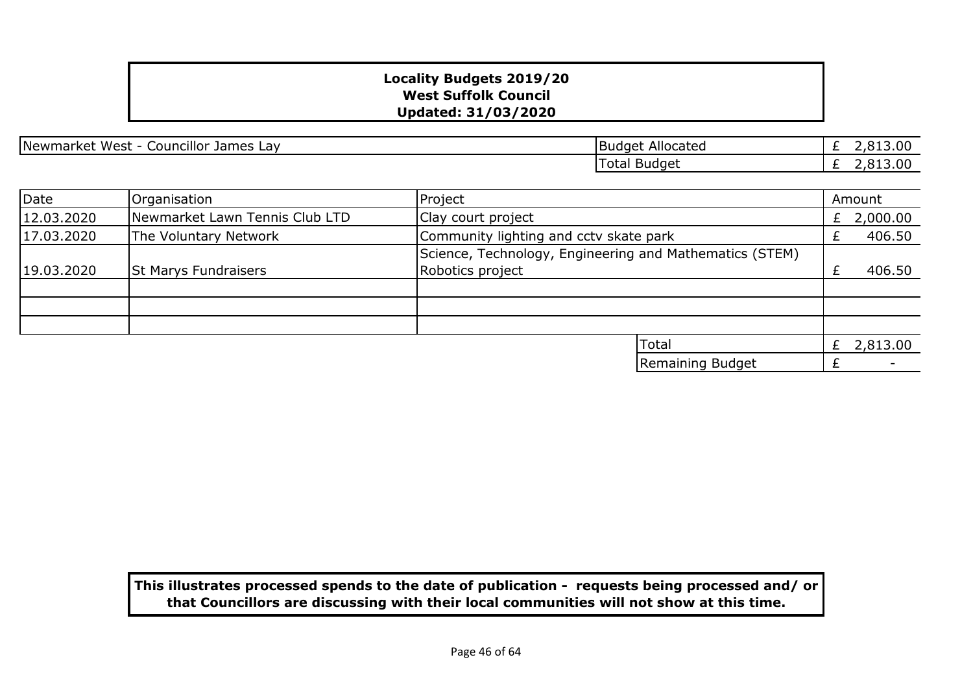| Newmarket West - Councillor James Lay | Budget Allocated |
|---------------------------------------|------------------|
|---------------------------------------|------------------|

| <b>Budget Allocated</b> | £ 2,813.00 |
|-------------------------|------------|
| Total Budget            | £ 2,813.00 |

| Date       | Organisation                   | Project                                                 | Amount       |
|------------|--------------------------------|---------------------------------------------------------|--------------|
| 12.03.2020 | Newmarket Lawn Tennis Club LTD | Clay court project                                      | £ 2,000.00   |
| 17.03.2020 | The Voluntary Network          | Community lighting and ccty skate park                  | 406.50       |
|            |                                | Science, Technology, Engineering and Mathematics (STEM) |              |
| 19.03.2020 | <b>St Marys Fundraisers</b>    | Robotics project                                        | 406.50       |
|            |                                |                                                         |              |
|            |                                |                                                         |              |
|            |                                |                                                         |              |
|            |                                | Total                                                   | £ $2,813.00$ |
|            |                                | Remaining Budget                                        |              |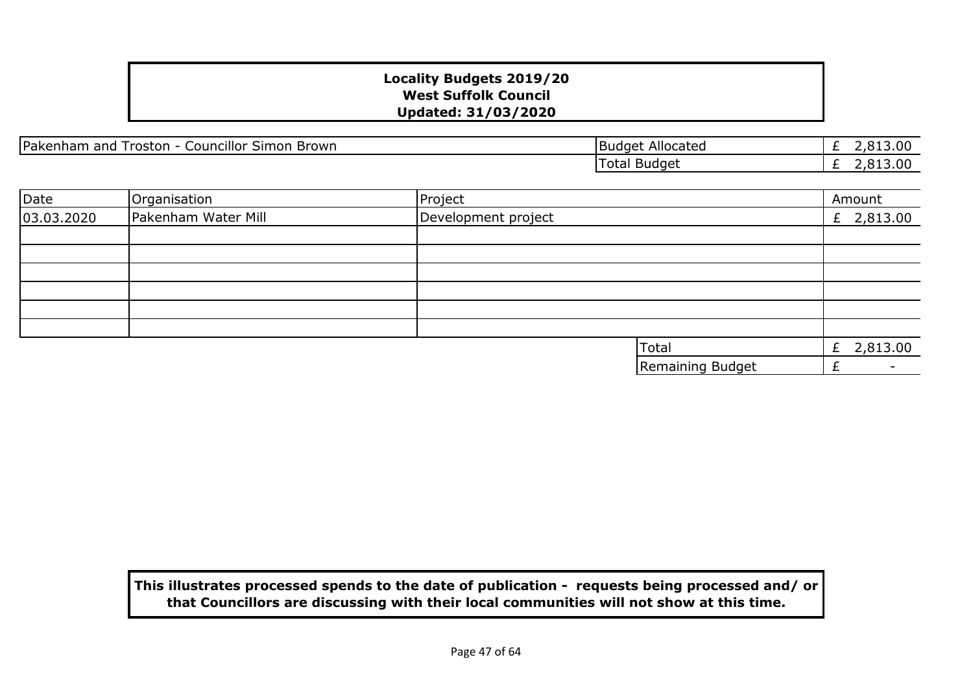Pakenham and Troston - Councillor Simon Brown Budget Allocated

£ 2,813.00  $\overline{E}$  2,813.00 Total Budget

| Date       | Organisation        | Project             | Amount        |
|------------|---------------------|---------------------|---------------|
| 03.03.2020 | Pakenham Water Mill | Development project | £ 2,813.00    |
|            |                     |                     |               |
|            |                     |                     |               |
|            |                     |                     |               |
|            |                     |                     |               |
|            |                     |                     |               |
|            |                     |                     |               |
|            |                     | Total               | 2,813.00<br>£ |
|            |                     | Remaining Budget    |               |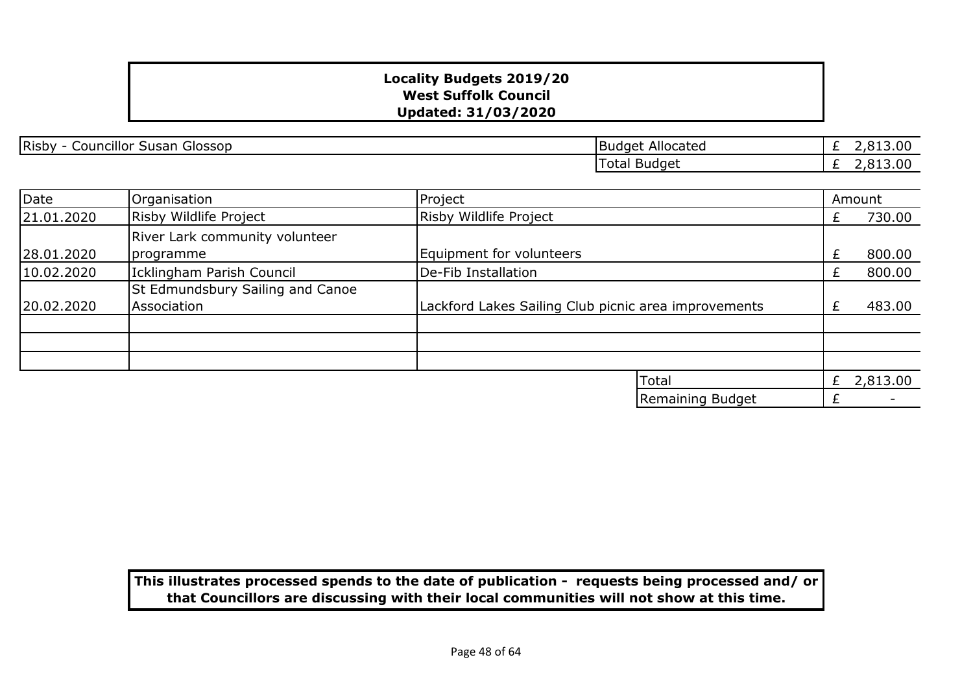Risby - Councillor Susan Glossop Budget Allocated

£ 2,813.00 £ 2,813.00 Total Budget

| Date       | Organisation                                         | Project                                              |                  |    | Amount                   |
|------------|------------------------------------------------------|------------------------------------------------------|------------------|----|--------------------------|
| 21.01.2020 | Risby Wildlife Project                               | Risby Wildlife Project                               |                  | Ł. | 730.00                   |
| 28.01.2020 | River Lark community volunteer<br><i>s</i> programme | <b>Equipment for volunteers</b>                      |                  | ÷. | 800.00                   |
| 10.02.2020 | Icklingham Parish Council                            | De-Fib Installation                                  |                  |    | 800.00                   |
| 20.02.2020 | St Edmundsbury Sailing and Canoe<br>Association      | Lackford Lakes Sailing Club picnic area improvements |                  |    | 483.00                   |
|            |                                                      |                                                      |                  |    |                          |
|            |                                                      |                                                      | Total            | £  | 2,813.00                 |
|            |                                                      |                                                      | Remaining Budget |    | $\overline{\phantom{0}}$ |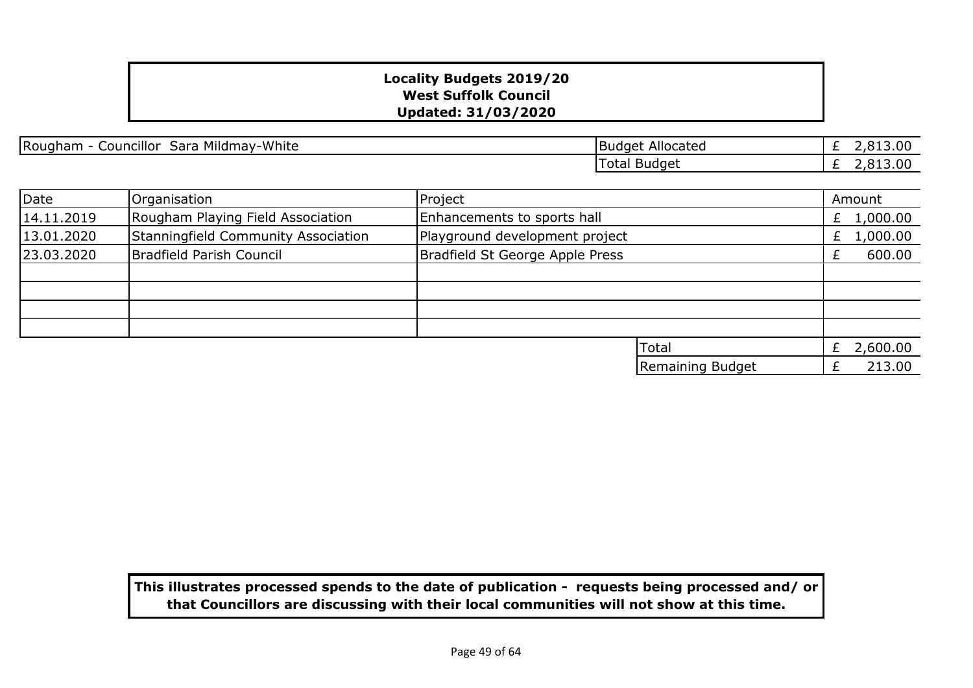Rougham - Councillor Sara Mildmay-White Budget Allocated

£ 2,813.00  $\overline{E}$  2,813.00 Total Budget

| Date       | Organisation                        | Project                         |                  |    | Amount       |
|------------|-------------------------------------|---------------------------------|------------------|----|--------------|
| 14.11.2019 | Rougham Playing Field Association   | Enhancements to sports hall     |                  |    | £ $1,000.00$ |
| 13.01.2020 | Stanningfield Community Association | Playground development project  |                  | £. | 1,000.00     |
| 23.03.2020 | Bradfield Parish Council            | Bradfield St George Apple Press |                  |    | 600.00       |
|            |                                     |                                 |                  |    |              |
|            |                                     |                                 |                  |    |              |
|            |                                     |                                 |                  |    |              |
|            |                                     |                                 |                  |    |              |
|            |                                     |                                 | Total            | £  | 2,600.00     |
|            |                                     |                                 | Remaining Budget |    | 213.00       |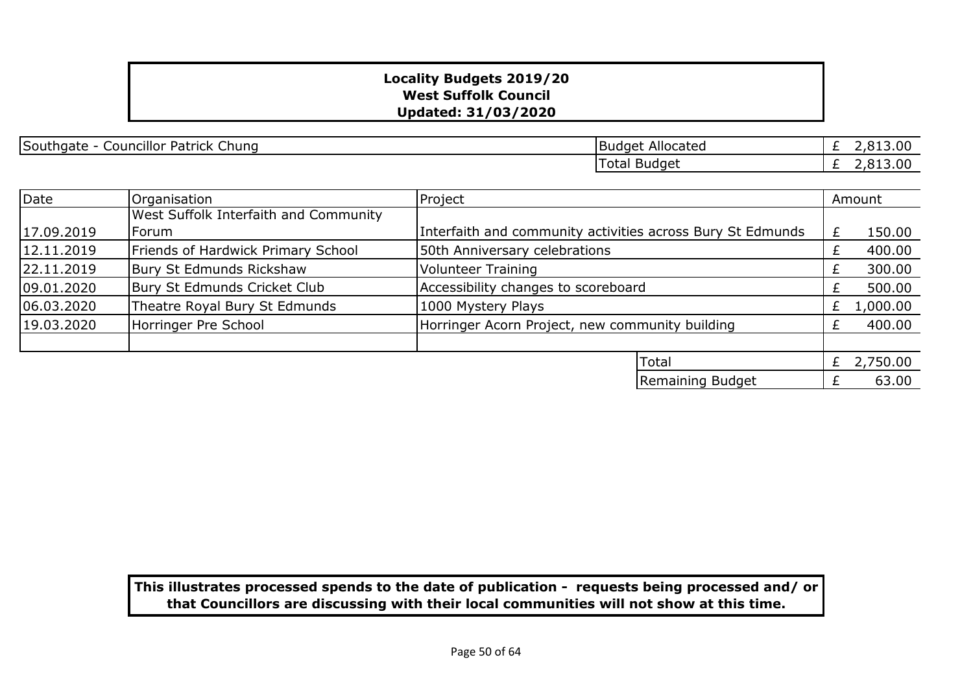Southgate - Councillor Patrick Chung Budget Allocated

£ 2,813.00  $\overline{E}$  2,813.00 Total Budget

| Date       | Organisation                          | Project                                                    |  | Amount   |
|------------|---------------------------------------|------------------------------------------------------------|--|----------|
|            | West Suffolk Interfaith and Community |                                                            |  |          |
| 17.09.2019 | Forum                                 | Interfaith and community activities across Bury St Edmunds |  | 150.00   |
| 12.11.2019 | Friends of Hardwick Primary School    | 50th Anniversary celebrations                              |  | 400.00   |
| 22.11.2019 | Bury St Edmunds Rickshaw              | <b>Volunteer Training</b>                                  |  | 300.00   |
| 09.01.2020 | Bury St Edmunds Cricket Club          | Accessibility changes to scoreboard                        |  | 500.00   |
| 06.03.2020 | Theatre Royal Bury St Edmunds         | 1000 Mystery Plays                                         |  | 1,000.00 |
| 19.03.2020 | Horringer Pre School                  | Horringer Acorn Project, new community building            |  | 400.00   |
|            |                                       |                                                            |  |          |
|            |                                       | Total                                                      |  | 2,750.00 |
|            |                                       | Remaining Budget                                           |  | 63.00    |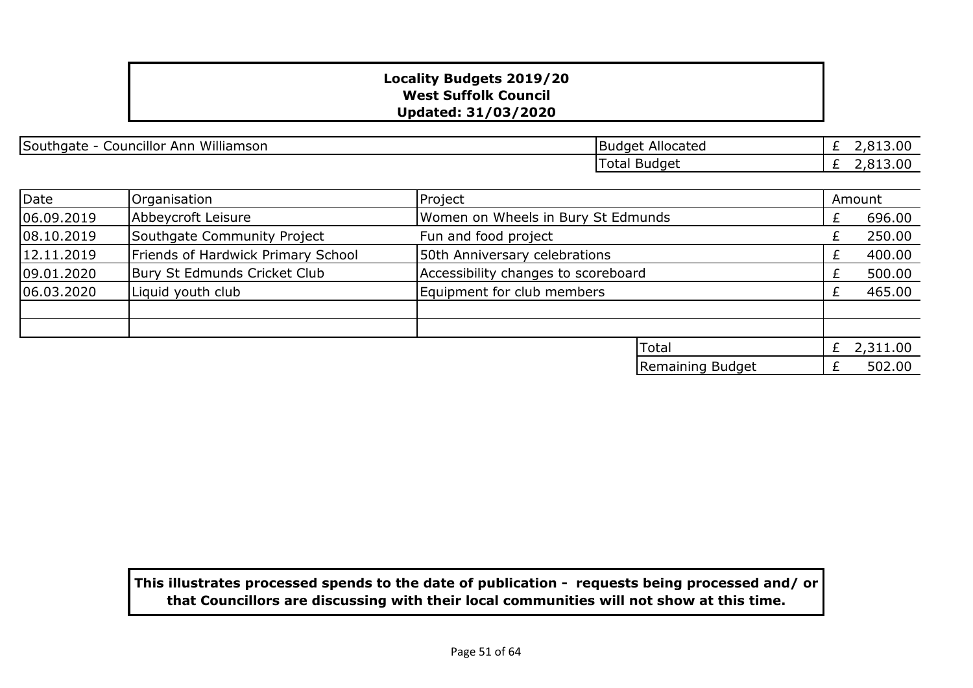| Councillor<br>Williamson<br>Southgate<br>Ann | Allocated<br><b>Budget</b> | .00<br>$\sim$ |
|----------------------------------------------|----------------------------|---------------|
|                                              | Total Budget               | .00<br>$\sim$ |

| Date       | Organisation                       | Project                             |                  |  | Amount   |
|------------|------------------------------------|-------------------------------------|------------------|--|----------|
| 06.09.2019 | Abbeycroft Leisure                 | Women on Wheels in Bury St Edmunds  |                  |  | 696.00   |
| 08.10.2019 | Southgate Community Project        | Fun and food project                |                  |  | 250.00   |
| 12.11.2019 | Friends of Hardwick Primary School | 50th Anniversary celebrations       |                  |  | 400.00   |
| 09.01.2020 | Bury St Edmunds Cricket Club       | Accessibility changes to scoreboard |                  |  | 500.00   |
| 06.03.2020 | Liquid youth club                  | Equipment for club members          |                  |  | 465.00   |
|            |                                    |                                     |                  |  |          |
|            |                                    |                                     |                  |  |          |
|            |                                    |                                     | <b>Total</b>     |  | 2,311.00 |
|            |                                    |                                     | Remaining Budget |  | 502.00   |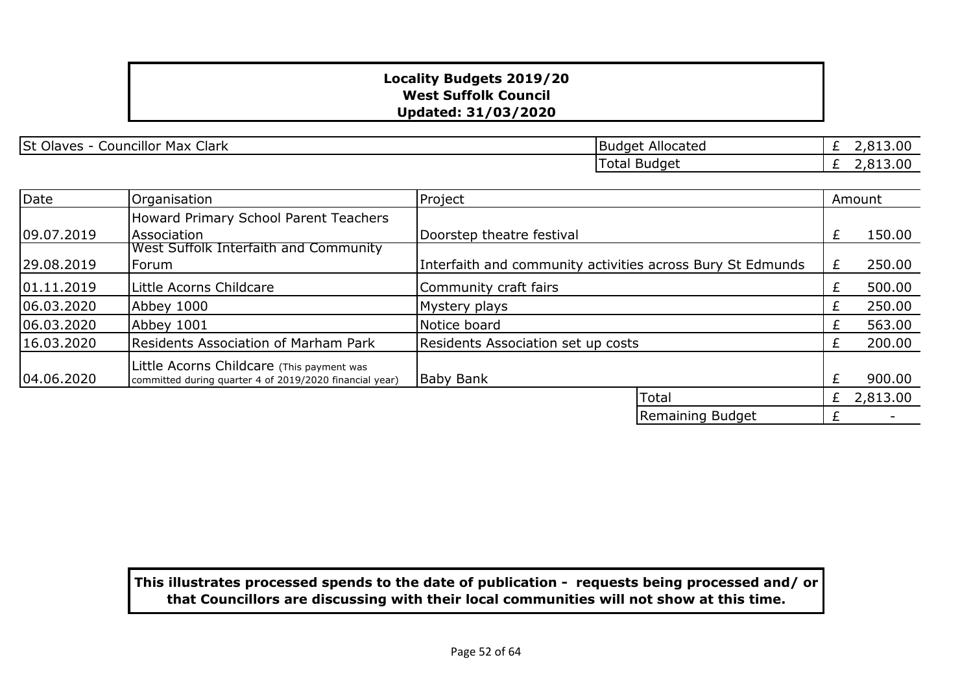St Olaves - Councillor Max Clark Budget Allocated

£ 2,813.00 £ 2,813.00 Total Budget

| Date       | Organisation                                                                                         | Project                                                    |                  |    | Amount   |
|------------|------------------------------------------------------------------------------------------------------|------------------------------------------------------------|------------------|----|----------|
|            | Howard Primary School Parent Teachers                                                                |                                                            |                  |    |          |
| 09.07.2019 | Association                                                                                          | Doorstep theatre festival                                  |                  | £  | 150.00   |
| 29.08.2019 | West Suffolk Interfaith and Community<br>Forum                                                       | Interfaith and community activities across Bury St Edmunds |                  | £  | 250.00   |
| 01.11.2019 | Little Acorns Childcare                                                                              | Community craft fairs                                      |                  |    | 500.00   |
| 06.03.2020 | Abbey 1000                                                                                           | Mystery plays                                              |                  | £  | 250.00   |
| 06.03.2020 | Abbey 1001                                                                                           | Notice board                                               |                  | Ł. | 563.00   |
| 16.03.2020 | <b>Residents Association of Marham Park</b>                                                          | Residents Association set up costs                         |                  | Ł  | 200.00   |
| 04.06.2020 | Little Acorns Childcare (This payment was<br>committed during quarter 4 of 2019/2020 financial year) | <b>Baby Bank</b>                                           |                  |    | 900.00   |
|            |                                                                                                      | Total                                                      |                  | £  | 2,813.00 |
|            |                                                                                                      |                                                            | Remaining Budget |    |          |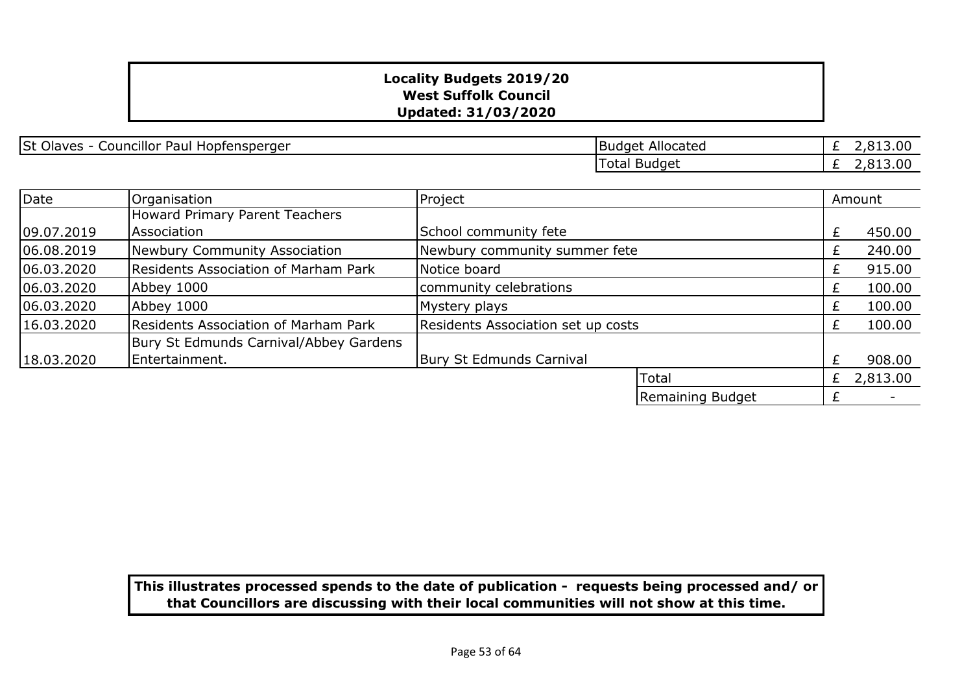St Olaves - Councillor Paul Hopfensperger Budget Allocated

£ 2,813.00 £ 2,813.00 Total Budget

| Date       | Organisation                                | Project                            |                  |       | Amount                   |
|------------|---------------------------------------------|------------------------------------|------------------|-------|--------------------------|
|            | Howard Primary Parent Teachers              |                                    |                  |       |                          |
| 09.07.2019 | Association                                 | School community fete              |                  |       | 450.00                   |
| 06.08.2019 | Newbury Community Association               | Newbury community summer fete      |                  | $\pm$ | 240.00                   |
| 06.03.2020 | <b>Residents Association of Marham Park</b> | Notice board                       |                  | £     | 915.00                   |
| 06.03.2020 | Abbey 1000                                  | community celebrations             |                  | Ł     | 100.00                   |
| 06.03.2020 | Abbey 1000                                  | Mystery plays                      |                  | £     | 100.00                   |
| 16.03.2020 | Residents Association of Marham Park        | Residents Association set up costs |                  | Ł     | 100.00                   |
|            | Bury St Edmunds Carnival/Abbey Gardens      |                                    |                  |       |                          |
| 18.03.2020 | Entertainment.                              | <b>Bury St Edmunds Carnival</b>    |                  | £     | 908.00                   |
|            |                                             |                                    | Total            | £     | 2,813.00                 |
|            |                                             |                                    | Remaining Budget |       | $\overline{\phantom{0}}$ |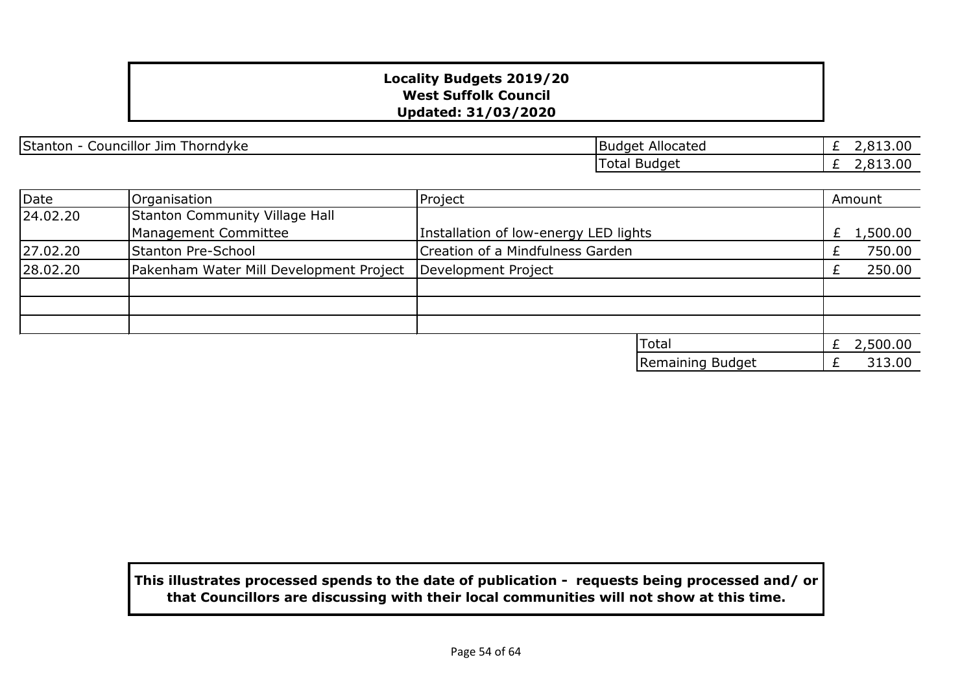Stanton - Councillor Jim Thorndyke **Budget Allocated** Budget Allocated

£ 2,813.00 £ 2,813.00 Total Budget

| Date     | Organisation                            | Project                               |                  | Amount   |
|----------|-----------------------------------------|---------------------------------------|------------------|----------|
| 24.02.20 | Stanton Community Village Hall          |                                       |                  |          |
|          | Management Committee                    | Installation of low-energy LED lights |                  | 1,500.00 |
| 27.02.20 | <b>Stanton Pre-School</b>               | Creation of a Mindfulness Garden      |                  | 750.00   |
| 28.02.20 | Pakenham Water Mill Development Project | Development Project                   |                  | 250.00   |
|          |                                         |                                       |                  |          |
|          |                                         |                                       |                  |          |
|          |                                         |                                       |                  |          |
|          |                                         |                                       | <b>Total</b>     | 2,500.00 |
|          |                                         |                                       | Remaining Budget | 313.00   |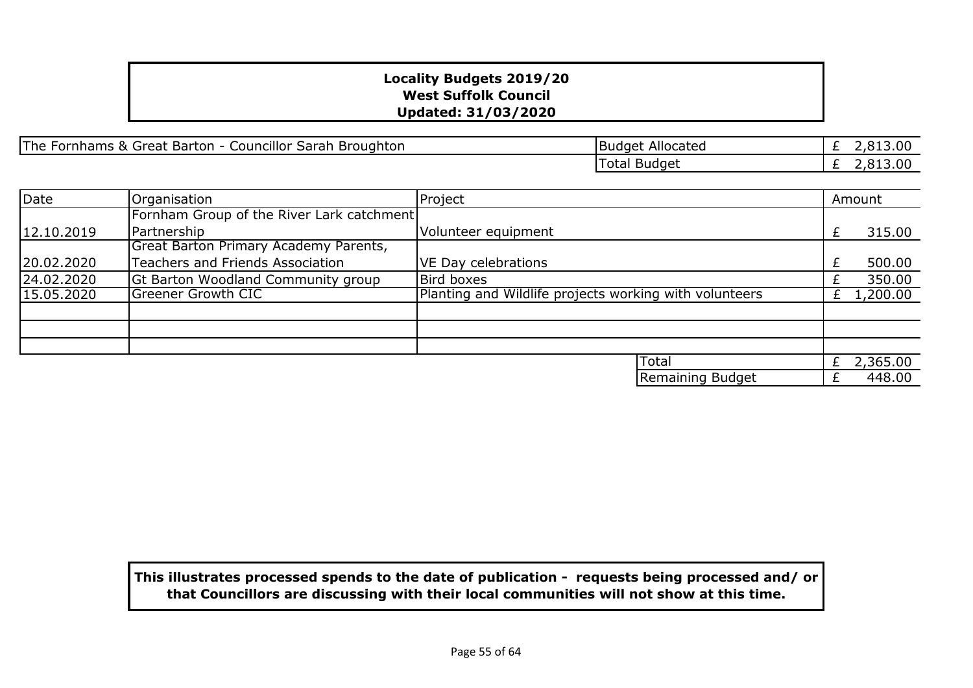| The<br>Councillor <u>C</u><br>Fornhams &<br>· Barton -<br>Broughton<br>Sarah<br>. Great | Allocated<br>IBudaet i | . .<br>, 0 1 0 1 0 0 |
|-----------------------------------------------------------------------------------------|------------------------|----------------------|
|                                                                                         | Total Budget           | -,01J.uu             |

| Date       | Organisation                              | Project                                                | Amount   |
|------------|-------------------------------------------|--------------------------------------------------------|----------|
|            | Fornham Group of the River Lark catchment |                                                        |          |
| 12.10.2019 | Partnership                               | Volunteer equipment                                    | 315.00   |
|            | Great Barton Primary Academy Parents,     |                                                        |          |
| 20.02.2020 | Teachers and Friends Association          | VE Day celebrations                                    | 500.00   |
| 24.02.2020 | Gt Barton Woodland Community group        | Bird boxes                                             | 350.00   |
| 15.05.2020 | <b>Greener Growth CIC</b>                 | Planting and Wildlife projects working with volunteers | 1,200.00 |
|            |                                           |                                                        |          |
|            |                                           |                                                        |          |
|            |                                           |                                                        |          |
|            |                                           | Total                                                  | 2,365.00 |
|            |                                           | Remaining Budget                                       | 448.00   |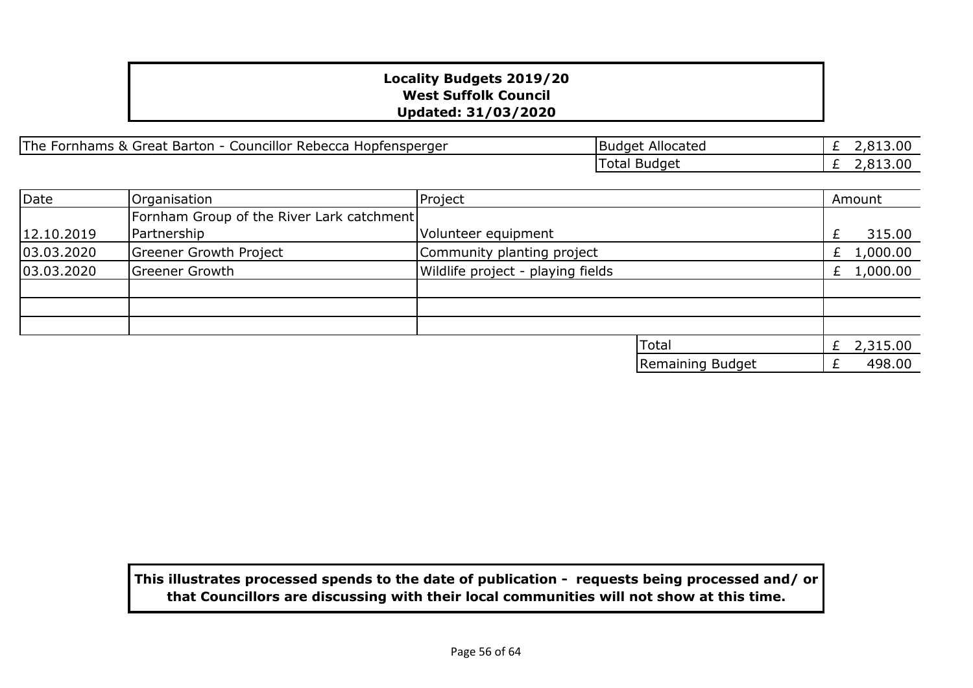| Councillor<br><sup>-</sup> Barton<br>, & Great<br>The Fornhams<br>r Rebecca Hopfensperger<br>$\overline{\phantom{0}}$ | Allocated<br>TRuddet | 2,813.00 |
|-----------------------------------------------------------------------------------------------------------------------|----------------------|----------|
|                                                                                                                       | Total<br>Budget      | 2,813.00 |

| Date       | Organisation                              | Project                           |                  | Amount       |
|------------|-------------------------------------------|-----------------------------------|------------------|--------------|
|            | Fornham Group of the River Lark catchment |                                   |                  |              |
| 12.10.2019 | Partnership                               | Volunteer equipment               |                  | 315.00       |
| 03.03.2020 | Greener Growth Project                    | Community planting project        |                  | £ $1,000.00$ |
| 03.03.2020 | <b>Greener Growth</b>                     | Wildlife project - playing fields |                  | £ $1,000.00$ |
|            |                                           |                                   |                  |              |
|            |                                           |                                   |                  |              |
|            |                                           |                                   |                  |              |
|            |                                           |                                   | <b>Total</b>     | 2,315.00     |
|            |                                           |                                   | Remaining Budget | 498.00       |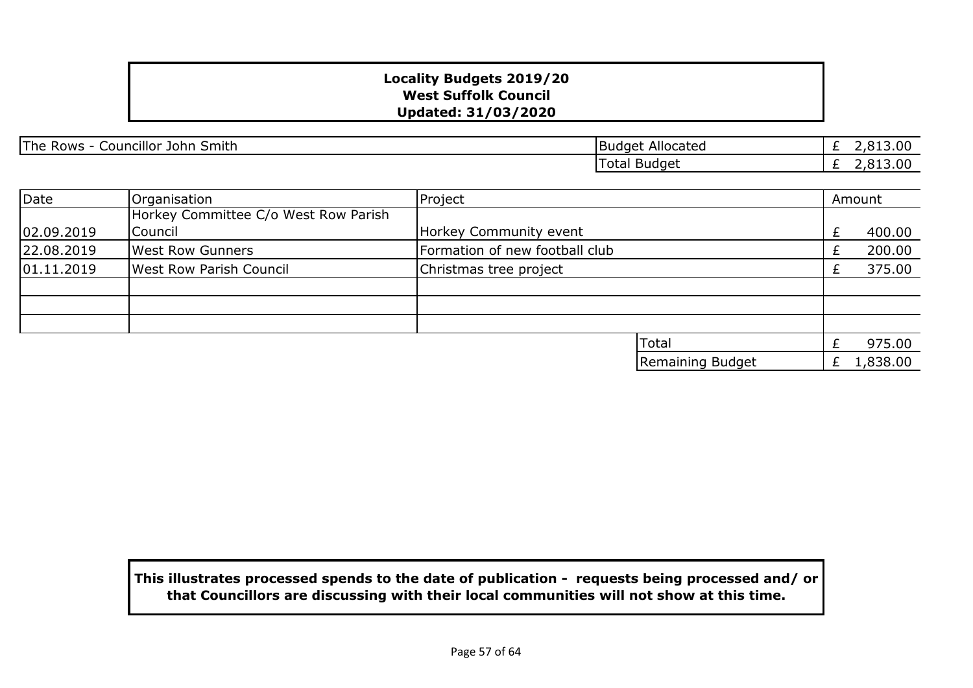| <b>The</b><br>. .<br>.Smith<br>Councillor<br>John<br>Rows | Allocated<br><b>Budget</b> | 13.00<br>ు -<br>C.      |
|-----------------------------------------------------------|----------------------------|-------------------------|
|                                                           | Totai<br>Budget            | 13.00<br>ు -<br>. . ຕ ' |

| Date       | Organisation                         | Project                        |                  | Amount   |
|------------|--------------------------------------|--------------------------------|------------------|----------|
|            | Horkey Committee C/o West Row Parish |                                |                  |          |
| 02.09.2019 | Council                              | Horkey Community event         |                  | 400.00   |
| 22.08.2019 | <b>West Row Gunners</b>              | Formation of new football club |                  | 200.00   |
| 01.11.2019 | <b>West Row Parish Council</b>       | Christmas tree project         |                  | 375.00   |
|            |                                      |                                |                  |          |
|            |                                      |                                |                  |          |
|            |                                      |                                |                  |          |
|            |                                      |                                | Total            | 975.00   |
|            |                                      |                                | Remaining Budget | 1,838.00 |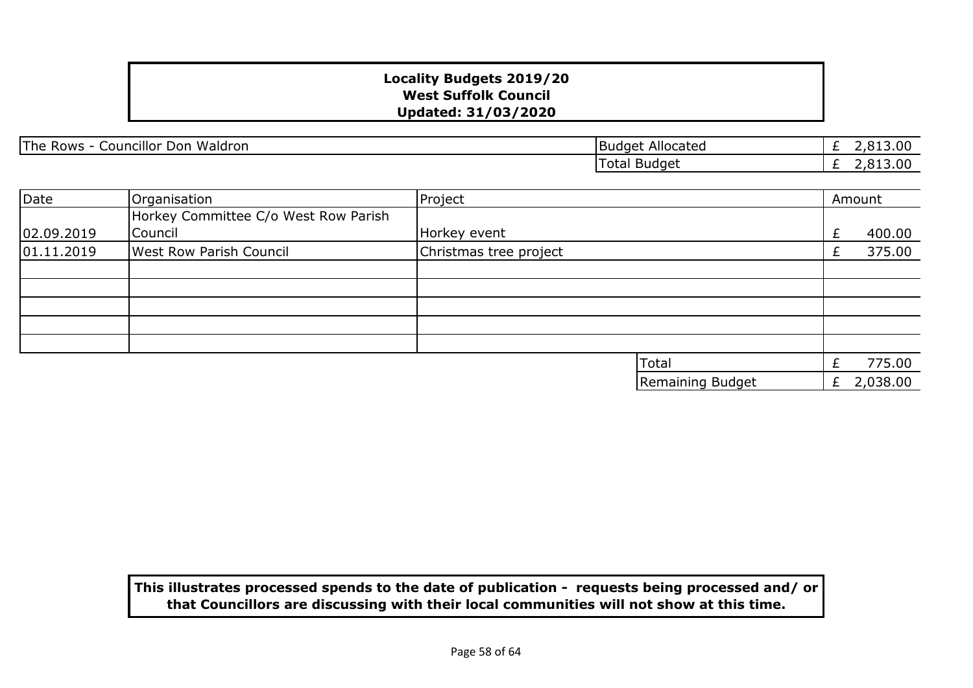| Councillor<br><b>The</b><br>Waldron<br>Don<br>Rows | Allocated<br>TBudget   | 13.00<br>. . റ                   |
|----------------------------------------------------|------------------------|----------------------------------|
|                                                    | Total<br><b>Budget</b> | 13.00<br>ъ.<br>. . O<br><u>_</u> |

| Date       | Organisation                                    | Project                |                  |   | Amount   |
|------------|-------------------------------------------------|------------------------|------------------|---|----------|
| 02.09.2019 | Horkey Committee C/o West Row Parish<br>Council | Horkey event           |                  | £ | 400.00   |
| 01.11.2019 | <b>West Row Parish Council</b>                  | Christmas tree project |                  |   | 375.00   |
|            |                                                 |                        |                  |   |          |
|            |                                                 |                        |                  |   |          |
|            |                                                 |                        |                  |   |          |
|            |                                                 |                        |                  |   |          |
|            |                                                 |                        |                  |   |          |
|            |                                                 |                        | <b>Total</b>     |   | 775.00   |
|            |                                                 |                        | Remaining Budget | £ | 2,038.00 |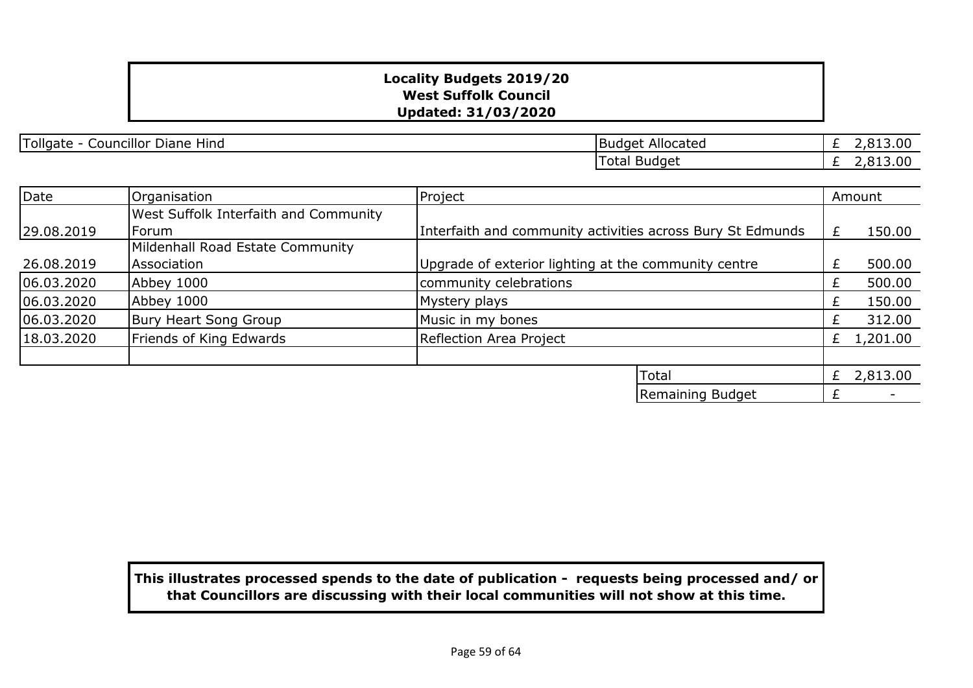| - -<br>.<br><br><b>Follgate</b><br>Hind<br>Councillor<br>Diane | Allocated<br>- Buda.<br>ום ה<br>. | $\sim$<br>.<br>. .      |
|----------------------------------------------------------------|-----------------------------------|-------------------------|
|                                                                | Total Budget                      | $\sim$<br>.<br>.<br>. . |

| Date       | Organisation                          | Project                                                    |   | Amount   |
|------------|---------------------------------------|------------------------------------------------------------|---|----------|
|            | West Suffolk Interfaith and Community |                                                            |   |          |
| 29.08.2019 | Forum                                 | Interfaith and community activities across Bury St Edmunds | £ | 150.00   |
|            | Mildenhall Road Estate Community      |                                                            |   |          |
| 26.08.2019 | Association                           | Upgrade of exterior lighting at the community centre       | £ | 500.00   |
| 06.03.2020 | Abbey 1000                            | community celebrations                                     |   | 500.00   |
| 06.03.2020 | Abbey 1000                            | Mystery plays                                              |   | 150.00   |
| 06.03.2020 | Bury Heart Song Group                 | Music in my bones                                          |   | 312.00   |
| 18.03.2020 | Friends of King Edwards               | Reflection Area Project                                    |   | 1,201.00 |
|            |                                       |                                                            |   |          |
|            |                                       | Total                                                      | £ | 2,813.00 |
|            |                                       | Remaining Budget                                           |   |          |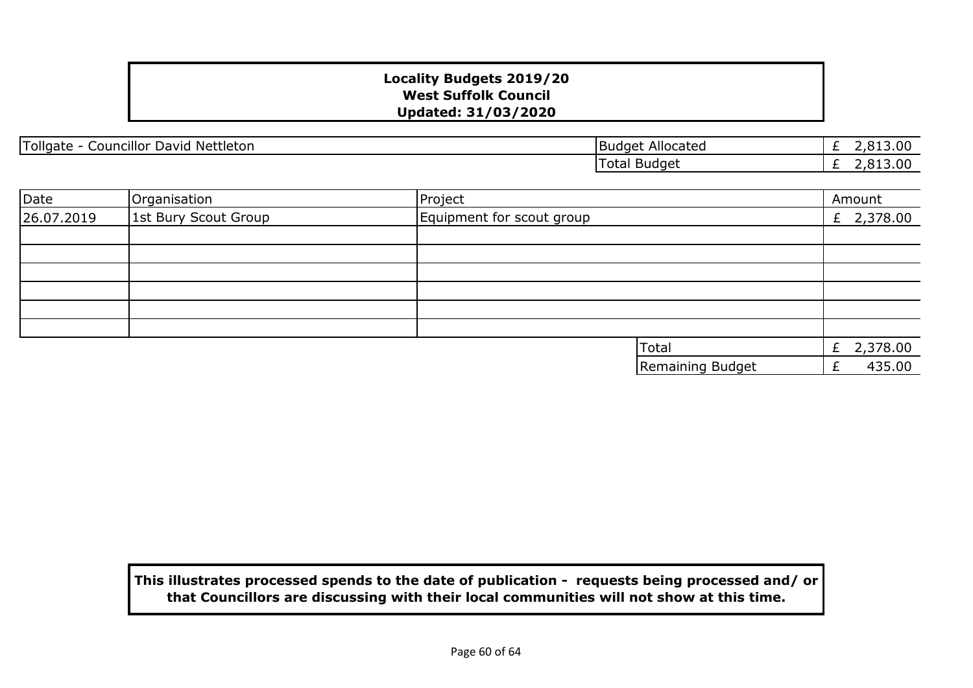| Tollgate<br><br><sup>+</sup> Nettleton<br>David<br>Councillor | Allocated<br><b>Budget</b> | 3.00<br>__ |
|---------------------------------------------------------------|----------------------------|------------|
|                                                               | Budget<br>- - -<br>i otal  | 3.OC       |

| Date       | Organisation         | Project                   |                  | Amount     |
|------------|----------------------|---------------------------|------------------|------------|
| 26.07.2019 | 1st Bury Scout Group | Equipment for scout group |                  | £ 2,378.00 |
|            |                      |                           |                  |            |
|            |                      |                           |                  |            |
|            |                      |                           |                  |            |
|            |                      |                           |                  |            |
|            |                      |                           |                  |            |
|            |                      |                           |                  |            |
|            |                      | Total                     |                  | £ 2,378.00 |
|            |                      |                           | Remaining Budget | 435.00     |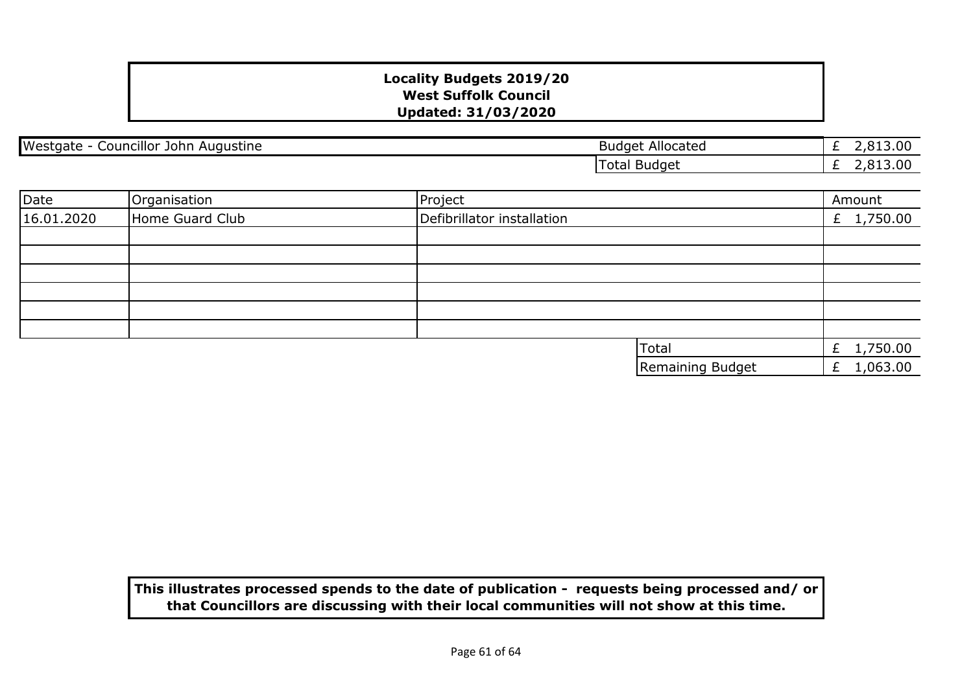| Westgate - Councillor John Augustine |                 | <b>Budget Allocated</b>    | £ $2,813.00$  |
|--------------------------------------|-----------------|----------------------------|---------------|
|                                      |                 | <b>Total Budget</b>        | 2,813.00<br>£ |
|                                      |                 |                            |               |
| Date                                 | Organisation    | Project                    | Amount        |
| 16.01.2020                           | Home Guard Club | Defibrillator installation | £ $1,750.00$  |
|                                      |                 |                            |               |
|                                      |                 |                            |               |
|                                      |                 |                            |               |
|                                      |                 |                            |               |
|                                      |                 |                            |               |
|                                      |                 |                            |               |
|                                      |                 | Total                      | £ 1,750.00    |
|                                      |                 | Remaining Budget           | 1,063.00<br>£ |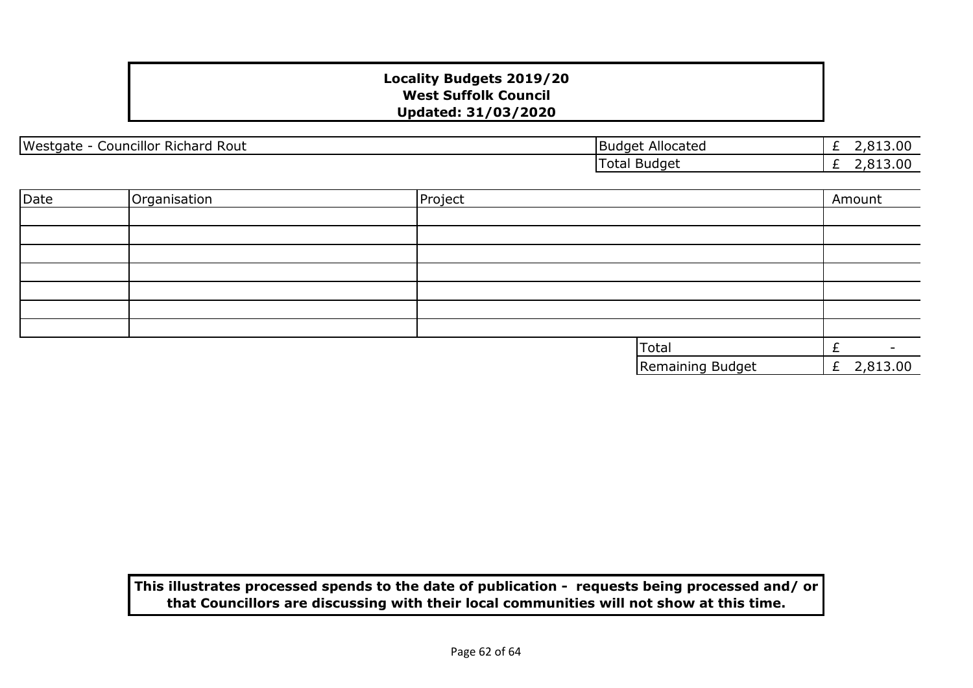| <br>Rout<br>Westgate<br><b>Councillor Richard</b> | : Allocated<br><b>Budget</b> | $\overline{\phantom{0}}$ | ΩC<br>2.013.UU |
|---------------------------------------------------|------------------------------|--------------------------|----------------|
|                                                   | Total<br>Budaet              | $\overline{\phantom{0}}$ | nr<br>.uu      |
|                                                   |                              |                          |                |

| Date | Organisation | Project |                  | Amount        |
|------|--------------|---------|------------------|---------------|
|      |              |         |                  |               |
|      |              |         |                  |               |
|      |              |         |                  |               |
|      |              |         |                  |               |
|      |              |         |                  |               |
|      |              |         |                  |               |
|      |              |         |                  |               |
|      |              |         | Total            |               |
|      |              |         | Remaining Budget | 2,813.00<br>£ |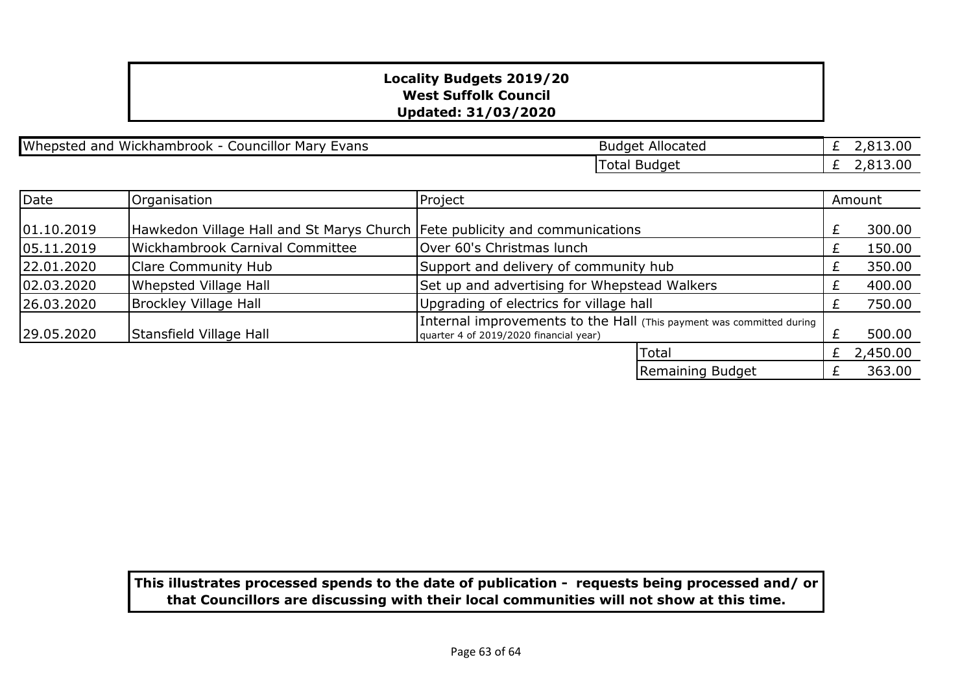Whepsted and Wickhambrook - Councillor Mary Evans

| <b>Budget Allocated</b> | £ 2,813.00 |
|-------------------------|------------|
| Total Budget            | £ 2,813.00 |

| Date       | Organisation                                                                | Project                                                                                                        |   | Amount   |  |
|------------|-----------------------------------------------------------------------------|----------------------------------------------------------------------------------------------------------------|---|----------|--|
|            |                                                                             |                                                                                                                |   |          |  |
| 01.10.2019 | Hawkedon Village Hall and St Marys Church Fete publicity and communications |                                                                                                                |   | 300.00   |  |
| 05.11.2019 | <b>Wickhambrook Carnival Committee</b>                                      | Over 60's Christmas lunch                                                                                      |   | 150.00   |  |
| 22.01.2020 | Clare Community Hub                                                         | Support and delivery of community hub                                                                          |   | 350.00   |  |
| 02.03.2020 | Whepsted Village Hall                                                       | Set up and advertising for Whepstead Walkers                                                                   |   | 400.00   |  |
| 26.03.2020 | <b>Brockley Village Hall</b>                                                | Upgrading of electrics for village hall                                                                        |   | 750.00   |  |
| 29.05.2020 | Stansfield Village Hall                                                     | Internal improvements to the Hall (This payment was committed during<br>quarter 4 of 2019/2020 financial year) |   | 500.00   |  |
|            |                                                                             | Total                                                                                                          | £ | 2,450.00 |  |
|            |                                                                             | Remaining Budget                                                                                               |   | 363.00   |  |